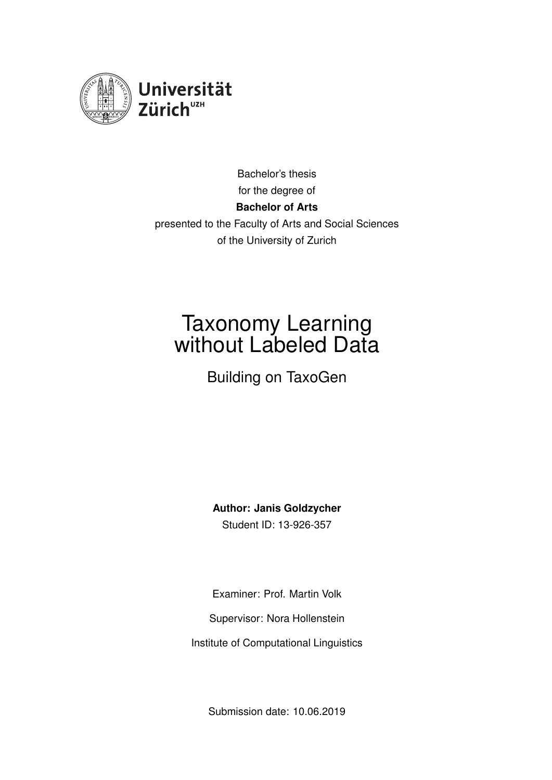<span id="page-0-0"></span>

Bachelor's thesis for the degree of **Bachelor of Arts** presented to the Faculty of Arts and Social Sciences of the University of Zurich

## Taxonomy Learning without Labeled Data

Building on TaxoGen

**Author: Janis Goldzycher** Student ID: 13-926-357

Examiner: Prof. Martin Volk

Supervisor: Nora Hollenstein

Institute of Computational Linguistics

Submission date: 10.06.2019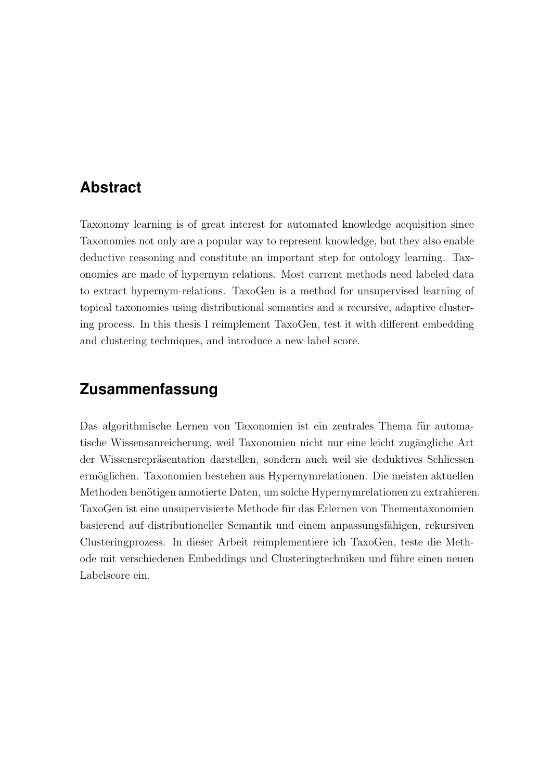## <span id="page-1-0"></span>**Abstract**

Taxonomy learning is of great interest for automated knowledge acquisition since Taxonomies not only are a popular way to represent knowledge, but they also enable deductive reasoning and constitute an important step for ontology learning. Taxonomies are made of hypernym relations. Most current methods need labeled data to extract hypernym-relations. TaxoGen is a method for unsupervised learning of topical taxonomies using distributional semantics and a recursive, adaptive clustering process. In this thesis I reimplement TaxoGen, test it with different embedding and clustering techniques, and introduce a new label score.

## **Zusammenfassung**

Das algorithmische Lernen von Taxonomien ist ein zentrales Thema für automatische Wissensanreicherung, weil Taxonomien nicht nur eine leicht zugängliche Art der Wissensrepräsentation darstellen, sondern auch weil sie deduktives Schliessen ermöglichen. Taxonomien bestehen aus Hypernymrelationen. Die meisten aktuellen Methoden benötigen annotierte Daten, um solche Hypernymrelationen zu extrahieren. TaxoGen ist eine unsupervisierte Methode für das Erlernen von Thementaxonomien basierend auf distributioneller Semantik und einem anpassungsfähigen, rekursiven Clusteringprozess. In dieser Arbeit reimplementiere ich TaxoGen, teste die Methode mit verschiedenen Embeddings und Clusteringtechniken und führe einen neuen Labelscore ein.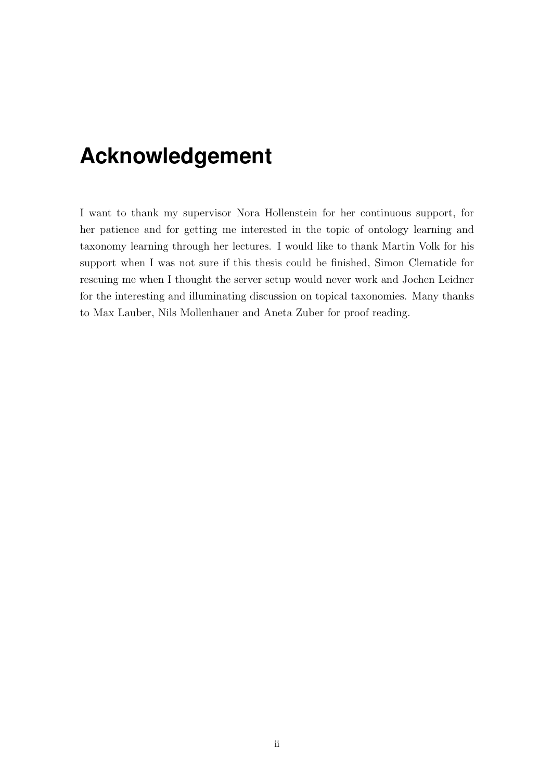## <span id="page-2-0"></span>**Acknowledgement**

I want to thank my supervisor Nora Hollenstein for her continuous support, for her patience and for getting me interested in the topic of ontology learning and taxonomy learning through her lectures. I would like to thank Martin Volk for his support when I was not sure if this thesis could be finished, Simon Clematide for rescuing me when I thought the server setup would never work and Jochen Leidner for the interesting and illuminating discussion on topical taxonomies. Many thanks to Max Lauber, Nils Mollenhauer and Aneta Zuber for proof reading.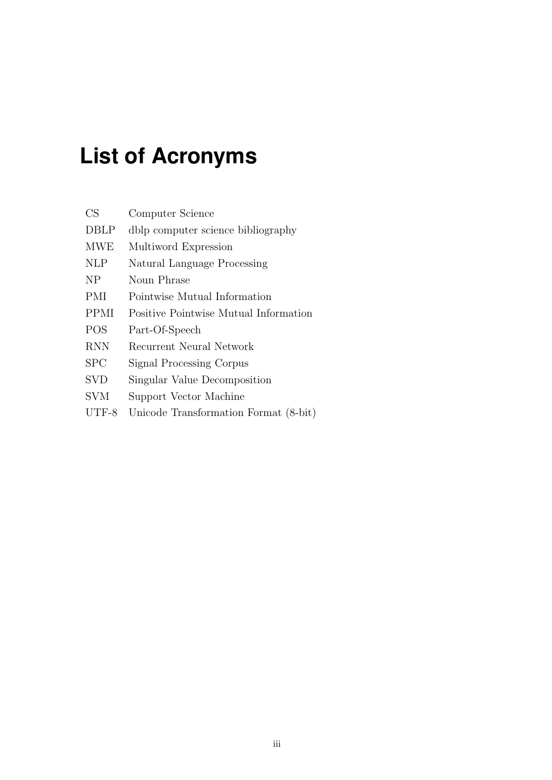# <span id="page-3-0"></span>**List of Acronyms**

| CS          | Computer Science                      |
|-------------|---------------------------------------|
| <b>DBLP</b> | dblp computer science bibliography    |
| <b>MWE</b>  | Multiword Expression                  |
| <b>NLP</b>  | Natural Language Processing           |
| NP          | Noun Phrase                           |
| PMI         | Pointwise Mutual Information          |
| <b>PPMI</b> | Positive Pointwise Mutual Information |
| <b>POS</b>  | Part-Of-Speech                        |
| <b>RNN</b>  | Recurrent Neural Network              |
| SPC         | Signal Processing Corpus              |
| <b>SVD</b>  | Singular Value Decomposition          |
| <b>SVM</b>  | Support Vector Machine                |
| $UTF-8$     | Unicode Transformation Format (8-bit) |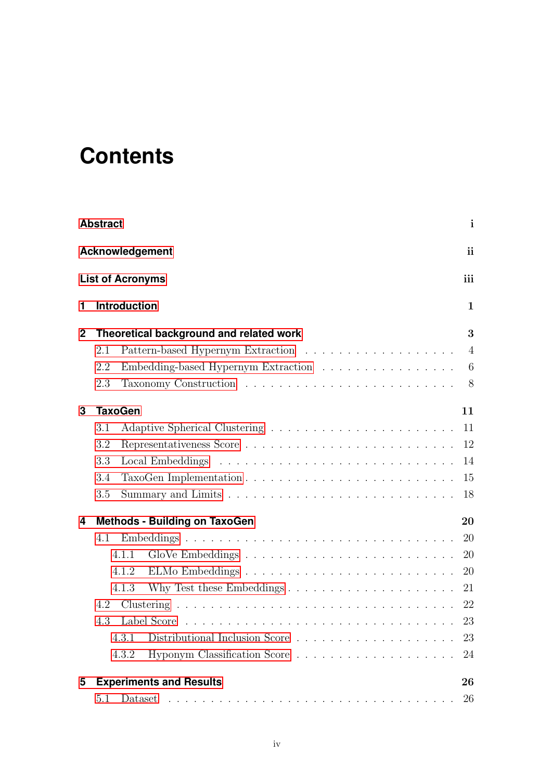# **Contents**

|              | <b>Abstract</b> |                                         | $\mathbf{i}$   |
|--------------|-----------------|-----------------------------------------|----------------|
|              |                 | <b>Acknowledgement</b>                  | ii             |
|              |                 | <b>List of Acronyms</b>                 | iii            |
| 1            |                 | <b>Introduction</b>                     | $\mathbf{1}$   |
| $\mathbf{2}$ |                 | Theoretical background and related work | 3              |
|              | 2.1             |                                         | $\overline{4}$ |
|              | 2.2             | Embedding-based Hypernym Extraction     | 6              |
|              | 2.3             |                                         | 8              |
| 3            |                 | <b>TaxoGen</b>                          | 11             |
|              | 3.1             |                                         | 11             |
|              | 3.2             |                                         | 12             |
|              | 3.3             |                                         | 14             |
|              | 3.4             |                                         | 15             |
|              | 3.5             |                                         | 18             |
| 4            |                 | <b>Methods - Building on TaxoGen</b>    | 20             |
|              | 4.1             |                                         | 20             |
|              |                 | 4.1.1                                   | 20             |
|              |                 | 4.1.2                                   | 20             |
|              |                 | 4.1.3                                   | 21             |
|              | 4.2             |                                         |                |
|              | 4.3             |                                         |                |
|              |                 | 4.3.1                                   | 23             |
|              |                 | 4.3.2                                   | 24             |
| 5            |                 | <b>Experiments and Results</b>          | 26             |
|              | 5.1             |                                         | 26             |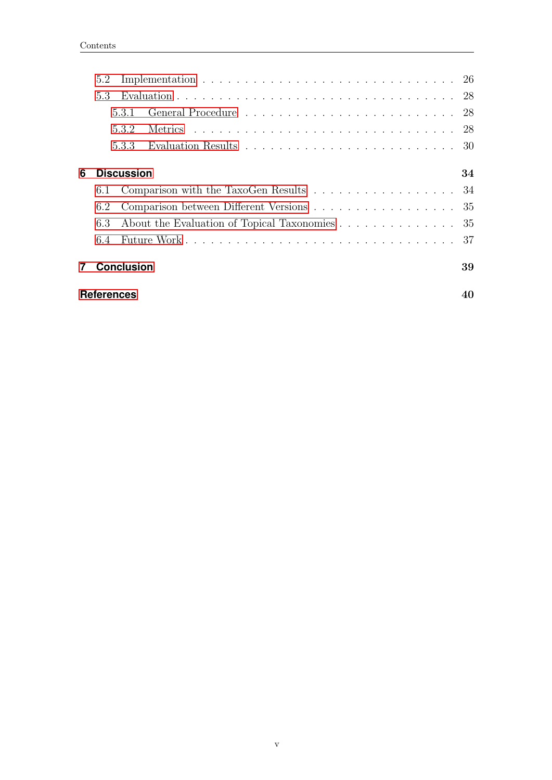|   | <b>References</b>                                    |                   |                                                                                     | 40 |  |  |  |  |  |
|---|------------------------------------------------------|-------------------|-------------------------------------------------------------------------------------|----|--|--|--|--|--|
|   |                                                      | <b>Conclusion</b> |                                                                                     | 39 |  |  |  |  |  |
|   | 6.4                                                  |                   |                                                                                     | 37 |  |  |  |  |  |
|   | About the Evaluation of Topical Taxonomies 35<br>6.3 |                   |                                                                                     |    |  |  |  |  |  |
|   | Comparison between Different Versions 35<br>6.2      |                   |                                                                                     |    |  |  |  |  |  |
|   | 6.1                                                  |                   | Comparison with the TaxoGen Results 34                                              |    |  |  |  |  |  |
| 6 |                                                      | <b>Discussion</b> |                                                                                     | 34 |  |  |  |  |  |
|   |                                                      | 5.3.3             | Evaluation Results $\ldots \ldots \ldots \ldots \ldots \ldots \ldots \ldots \ldots$ |    |  |  |  |  |  |
|   |                                                      | 5.3.2             |                                                                                     |    |  |  |  |  |  |
|   |                                                      | 531               |                                                                                     |    |  |  |  |  |  |
|   | 5.3                                                  |                   |                                                                                     |    |  |  |  |  |  |
|   | 5.2                                                  |                   |                                                                                     |    |  |  |  |  |  |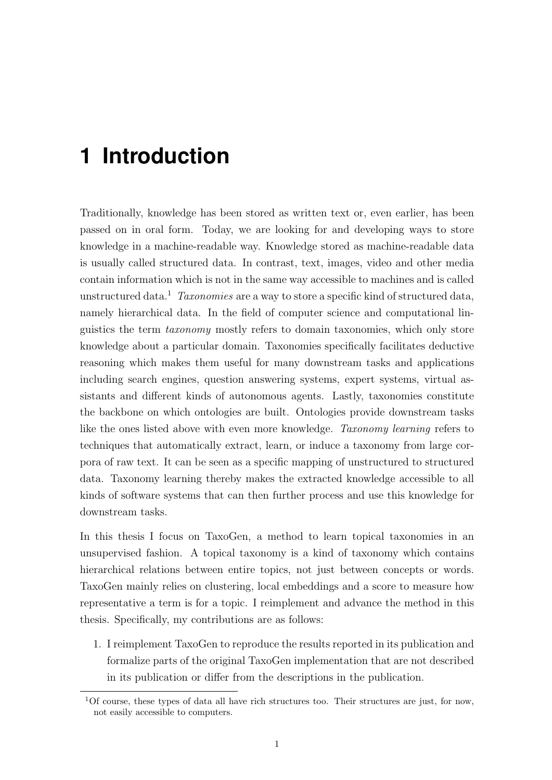## <span id="page-6-0"></span>**1 Introduction**

Traditionally, knowledge has been stored as written text or, even earlier, has been passed on in oral form. Today, we are looking for and developing ways to store knowledge in a machine-readable way. Knowledge stored as machine-readable data is usually called structured data. In contrast, text, images, video and other media contain information which is not in the same way accessible to machines and is called unstructured data.<sup>1</sup> Taxonomies are a way to store a specific kind of structured data, namely hierarchical data. In the field of computer science and computational linguistics the term taxonomy mostly refers to domain taxonomies, which only store knowledge about a particular domain. Taxonomies specifically facilitates deductive reasoning which makes them useful for many downstream tasks and applications including search engines, question answering systems, expert systems, virtual assistants and different kinds of autonomous agents. Lastly, taxonomies constitute the backbone on which ontologies are built. Ontologies provide downstream tasks like the ones listed above with even more knowledge. Taxonomy learning refers to techniques that automatically extract, learn, or induce a taxonomy from large corpora of raw text. It can be seen as a specific mapping of unstructured to structured data. Taxonomy learning thereby makes the extracted knowledge accessible to all kinds of software systems that can then further process and use this knowledge for downstream tasks.

In this thesis I focus on TaxoGen, a method to learn topical taxonomies in an unsupervised fashion. A topical taxonomy is a kind of taxonomy which contains hierarchical relations between entire topics, not just between concepts or words. TaxoGen mainly relies on clustering, local embeddings and a score to measure how representative a term is for a topic. I reimplement and advance the method in this thesis. Specifically, my contributions are as follows:

1. I reimplement TaxoGen to reproduce the results reported in its publication and formalize parts of the original TaxoGen implementation that are not described in its publication or differ from the descriptions in the publication.

<sup>1</sup>Of course, these types of data all have rich structures too. Their structures are just, for now, not easily accessible to computers.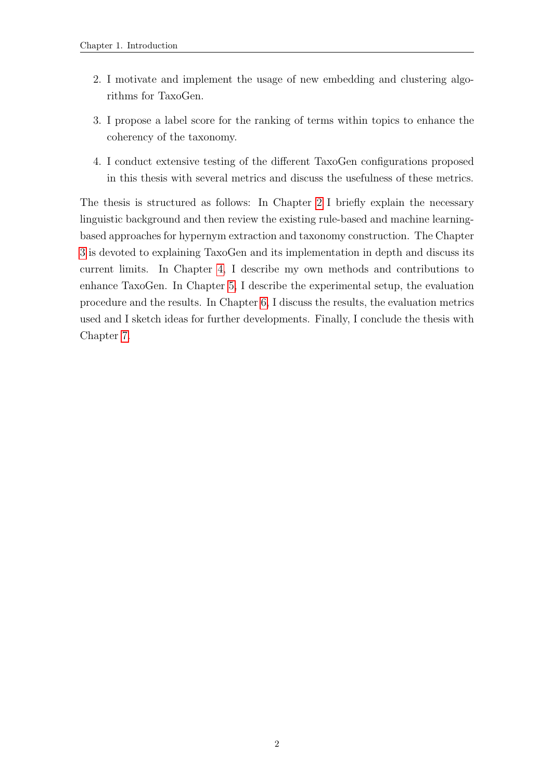- 2. I motivate and implement the usage of new embedding and clustering algorithms for TaxoGen.
- 3. I propose a label score for the ranking of terms within topics to enhance the coherency of the taxonomy.
- 4. I conduct extensive testing of the different TaxoGen configurations proposed in this thesis with several metrics and discuss the usefulness of these metrics.

The thesis is structured as follows: In Chapter [2](#page-8-0) I briefly explain the necessary linguistic background and then review the existing rule-based and machine learningbased approaches for hypernym extraction and taxonomy construction. The Chapter [3](#page-16-0) is devoted to explaining TaxoGen and its implementation in depth and discuss its current limits. In Chapter [4,](#page-25-0) I describe my own methods and contributions to enhance TaxoGen. In Chapter [5,](#page-31-0) I describe the experimental setup, the evaluation procedure and the results. In Chapter [6,](#page-39-0) I discuss the results, the evaluation metrics used and I sketch ideas for further developments. Finally, I conclude the thesis with Chapter [7.](#page-44-0)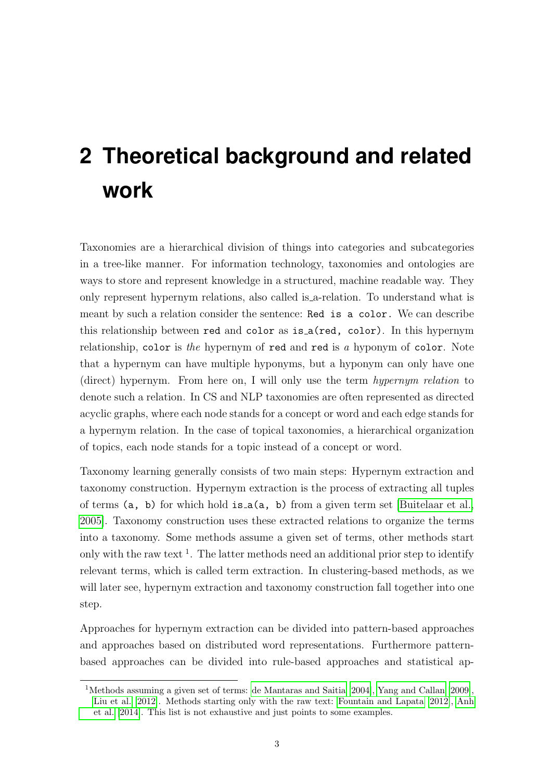# <span id="page-8-0"></span>**2 Theoretical background and related work**

Taxonomies are a hierarchical division of things into categories and subcategories in a tree-like manner. For information technology, taxonomies and ontologies are ways to store and represent knowledge in a structured, machine readable way. They only represent hypernym relations, also called is a-relation. To understand what is meant by such a relation consider the sentence: Red is a color. We can describe this relationship between red and color as is a(red, color). In this hypernym relationship, color is the hypernym of red and red is a hyponym of color. Note that a hypernym can have multiple hyponyms, but a hyponym can only have one (direct) hypernym. From here on, I will only use the term hypernym relation to denote such a relation. In CS and NLP taxonomies are often represented as directed acyclic graphs, where each node stands for a concept or word and each edge stands for a hypernym relation. In the case of topical taxonomies, a hierarchical organization of topics, each node stands for a topic instead of a concept or word.

Taxonomy learning generally consists of two main steps: Hypernym extraction and taxonomy construction. Hypernym extraction is the process of extracting all tuples of terms (a, b) for which hold is a(a, b) from a given term set [\[Buitelaar et al.,](#page-45-1) [2005\]](#page-45-1). Taxonomy construction uses these extracted relations to organize the terms into a taxonomy. Some methods assume a given set of terms, other methods start only with the raw text<sup>1</sup>. The latter methods need an additional prior step to identify relevant terms, which is called term extraction. In clustering-based methods, as we will later see, hypernym extraction and taxonomy construction fall together into one step.

Approaches for hypernym extraction can be divided into pattern-based approaches and approaches based on distributed word representations. Furthermore patternbased approaches can be divided into rule-based approaches and statistical ap-

<sup>1</sup>Methods assuming a given set of terms: [de Mantaras and Saitia](#page-45-2) [\[2004\]](#page-45-2), [Yang and Callan](#page-48-0) [\[2009\]](#page-48-0), [Liu et al.](#page-47-0) [\[2012\]](#page-47-0). Methods starting only with the raw text: [Fountain and Lapata](#page-46-0) [\[2012\]](#page-46-0), [Anh](#page-45-3) [et al.](#page-45-3) [\[2014\]](#page-45-3). This list is not exhaustive and just points to some examples.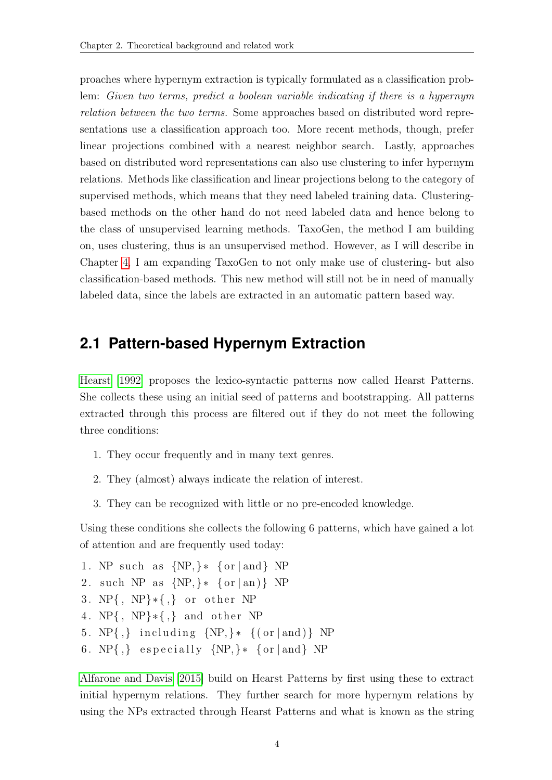proaches where hypernym extraction is typically formulated as a classification problem: Given two terms, predict a boolean variable indicating if there is a hypernym relation between the two terms. Some approaches based on distributed word representations use a classification approach too. More recent methods, though, prefer linear projections combined with a nearest neighbor search. Lastly, approaches based on distributed word representations can also use clustering to infer hypernym relations. Methods like classification and linear projections belong to the category of supervised methods, which means that they need labeled training data. Clusteringbased methods on the other hand do not need labeled data and hence belong to the class of unsupervised learning methods. TaxoGen, the method I am building on, uses clustering, thus is an unsupervised method. However, as I will describe in Chapter [4,](#page-25-0) I am expanding TaxoGen to not only make use of clustering- but also classification-based methods. This new method will still not be in need of manually labeled data, since the labels are extracted in an automatic pattern based way.

## <span id="page-9-0"></span>**2.1 Pattern-based Hypernym Extraction**

[Hearst](#page-46-1) [\[1992\]](#page-46-1) proposes the lexico-syntactic patterns now called Hearst Patterns. She collects these using an initial seed of patterns and bootstrapping. All patterns extracted through this process are filtered out if they do not meet the following three conditions:

- 1. They occur frequently and in many text genres.
- 2. They (almost) always indicate the relation of interest.
- 3. They can be recognized with little or no pre-encoded knowledge.

Using these conditions she collects the following 6 patterns, which have gained a lot of attention and are frequently used today:

1. NP such as  $\{NP, \}*$   $\{or | and\}$  NP 2. such NP as  $\{NP, \}$  \*  $\{or \mid an\}$  NP 3. NP{, NP} $\ast$ {,} or other NP 4. NP{, NP} $\ast$ {,} and other NP 5.  $NP\{,\}$  including  $\{NP,\}$  \*  $\{(or | and)\}$  NP 6. NP $\{ ,\}$  especially  $\{ NP, \} * \{ or \}$  and  $\}$  NP

[Alfarone and Davis](#page-45-4) [\[2015\]](#page-45-4) build on Hearst Patterns by first using these to extract initial hypernym relations. They further search for more hypernym relations by using the NPs extracted through Hearst Patterns and what is known as the string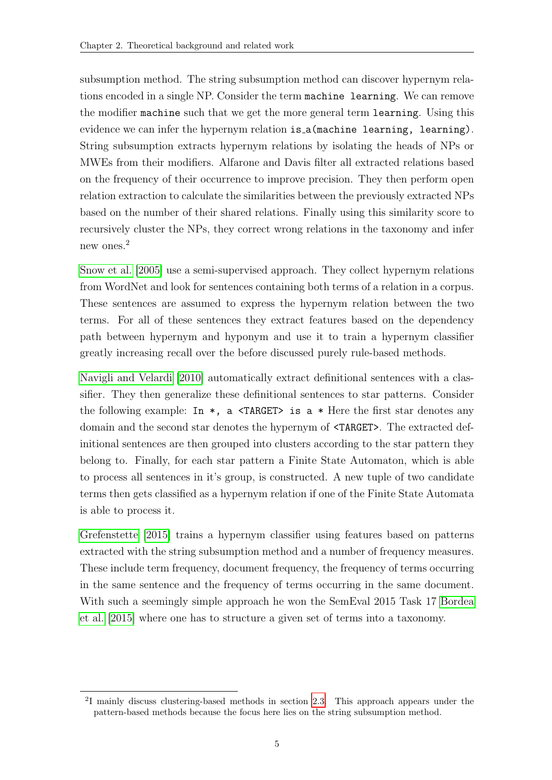subsumption method. The string subsumption method can discover hypernym relations encoded in a single NP. Consider the term machine learning. We can remove the modifier machine such that we get the more general term learning. Using this evidence we can infer the hypernym relation is a (machine learning, learning). String subsumption extracts hypernym relations by isolating the heads of NPs or MWEs from their modifiers. Alfarone and Davis filter all extracted relations based on the frequency of their occurrence to improve precision. They then perform open relation extraction to calculate the similarities between the previously extracted NPs based on the number of their shared relations. Finally using this similarity score to recursively cluster the NPs, they correct wrong relations in the taxonomy and infer new ones.<sup>2</sup>

[Snow et al.](#page-47-1) [\[2005\]](#page-47-1) use a semi-supervised approach. They collect hypernym relations from WordNet and look for sentences containing both terms of a relation in a corpus. These sentences are assumed to express the hypernym relation between the two terms. For all of these sentences they extract features based on the dependency path between hypernym and hyponym and use it to train a hypernym classifier greatly increasing recall over the before discussed purely rule-based methods.

[Navigli and Velardi](#page-47-2) [\[2010\]](#page-47-2) automatically extract definitional sentences with a classifier. They then generalize these definitional sentences to star patterns. Consider the following example: In  $*$ , a <TARGET> is a  $*$  Here the first star denotes any domain and the second star denotes the hypernym of <TARGET>. The extracted definitional sentences are then grouped into clusters according to the star pattern they belong to. Finally, for each star pattern a Finite State Automaton, which is able to process all sentences in it's group, is constructed. A new tuple of two candidate terms then gets classified as a hypernym relation if one of the Finite State Automata is able to process it.

[Grefenstette](#page-46-2) [\[2015\]](#page-46-2) trains a hypernym classifier using features based on patterns extracted with the string subsumption method and a number of frequency measures. These include term frequency, document frequency, the frequency of terms occurring in the same sentence and the frequency of terms occurring in the same document. With such a seemingly simple approach he won the SemEval 2015 Task 17 [Bordea](#page-45-5) [et al.](#page-45-5) [\[2015\]](#page-45-5) where one has to structure a given set of terms into a taxonomy.

<sup>2</sup> I mainly discuss clustering-based methods in section [2.3.](#page-13-0) This approach appears under the pattern-based methods because the focus here lies on the string subsumption method.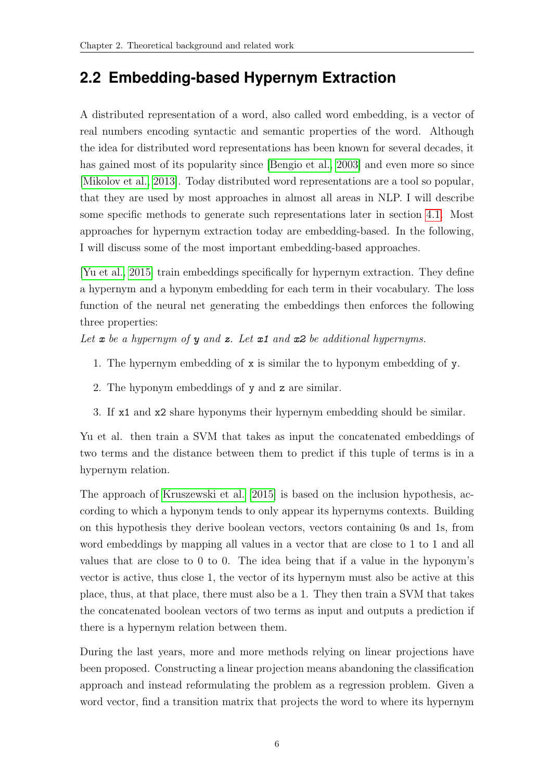## <span id="page-11-0"></span>**2.2 Embedding-based Hypernym Extraction**

A distributed representation of a word, also called word embedding, is a vector of real numbers encoding syntactic and semantic properties of the word. Although the idea for distributed word representations has been known for several decades, it has gained most of its popularity since [\[Bengio et al., 2003\]](#page-45-6) and even more so since [\[Mikolov et al., 2013\]](#page-47-3). Today distributed word representations are a tool so popular, that they are used by most approaches in almost all areas in NLP. I will describe some specific methods to generate such representations later in section [4.1.](#page-25-1) Most approaches for hypernym extraction today are embedding-based. In the following, I will discuss some of the most important embedding-based approaches.

[\[Yu et al., 2015\]](#page-48-1) train embeddings specifically for hypernym extraction. They define a hypernym and a hyponym embedding for each term in their vocabulary. The loss function of the neural net generating the embeddings then enforces the following three properties:

Let  $x$  be a hypernym of  $y$  and  $z$ . Let  $x1$  and  $x2$  be additional hypernyms.

- 1. The hypernym embedding of x is similar the to hyponym embedding of y.
- 2. The hyponym embeddings of y and z are similar.
- 3. If x1 and x2 share hyponyms their hypernym embedding should be similar.

Yu et al. then train a SVM that takes as input the concatenated embeddings of two terms and the distance between them to predict if this tuple of terms is in a hypernym relation.

The approach of [Kruszewski et al.](#page-46-3) [\[2015\]](#page-46-3) is based on the inclusion hypothesis, according to which a hyponym tends to only appear its hypernyms contexts. Building on this hypothesis they derive boolean vectors, vectors containing 0s and 1s, from word embeddings by mapping all values in a vector that are close to 1 to 1 and all values that are close to 0 to 0. The idea being that if a value in the hyponym's vector is active, thus close 1, the vector of its hypernym must also be active at this place, thus, at that place, there must also be a 1. They then train a SVM that takes the concatenated boolean vectors of two terms as input and outputs a prediction if there is a hypernym relation between them.

During the last years, more and more methods relying on linear projections have been proposed. Constructing a linear projection means abandoning the classification approach and instead reformulating the problem as a regression problem. Given a word vector, find a transition matrix that projects the word to where its hypernym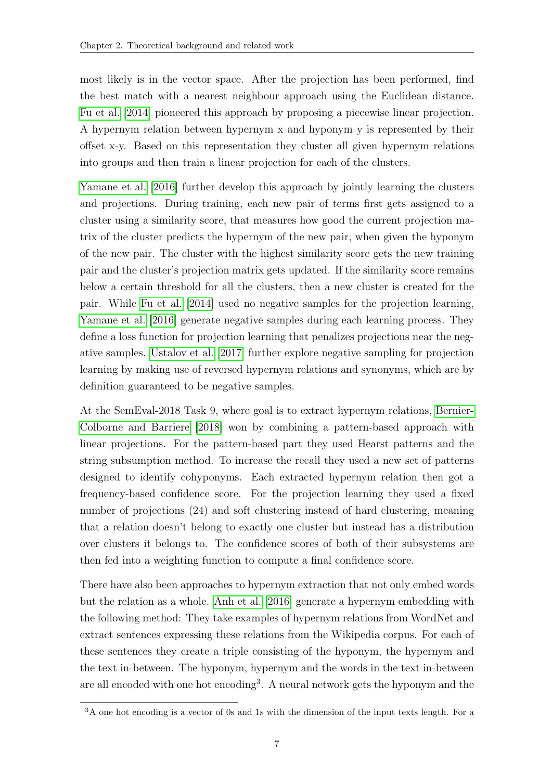most likely is in the vector space. After the projection has been performed, find the best match with a nearest neighbour approach using the Euclidean distance. [Fu et al.](#page-46-4) [\[2014\]](#page-46-4) pioneered this approach by proposing a piecewise linear projection. A hypernym relation between hypernym x and hyponym y is represented by their offset x-y. Based on this representation they cluster all given hypernym relations into groups and then train a linear projection for each of the clusters.

[Yamane et al.](#page-47-4) [\[2016\]](#page-47-4) further develop this approach by jointly learning the clusters and projections. During training, each new pair of terms first gets assigned to a cluster using a similarity score, that measures how good the current projection matrix of the cluster predicts the hypernym of the new pair, when given the hyponym of the new pair. The cluster with the highest similarity score gets the new training pair and the cluster's projection matrix gets updated. If the similarity score remains below a certain threshold for all the clusters, then a new cluster is created for the pair. While [Fu et al.](#page-46-4) [\[2014\]](#page-46-4) used no negative samples for the projection learning, [Yamane et al.](#page-47-4) [\[2016\]](#page-47-4) generate negative samples during each learning process. They define a loss function for projection learning that penalizes projections near the negative samples. [Ustalov et al.](#page-47-5) [\[2017\]](#page-47-5) further explore negative sampling for projection learning by making use of reversed hypernym relations and synonyms, which are by definition guaranteed to be negative samples.

At the SemEval-2018 Task 9, where goal is to extract hypernym relations, [Bernier-](#page-45-7)[Colborne and Barriere](#page-45-7) [\[2018\]](#page-45-7) won by combining a pattern-based approach with linear projections. For the pattern-based part they used Hearst patterns and the string subsumption method. To increase the recall they used a new set of patterns designed to identify cohyponyms. Each extracted hypernym relation then got a frequency-based confidence score. For the projection learning they used a fixed number of projections  $(24)$  and soft clustering instead of hard clustering, meaning that a relation doesn't belong to exactly one cluster but instead has a distribution over clusters it belongs to. The confidence scores of both of their subsystems are then fed into a weighting function to compute a final confidence score.

There have also been approaches to hypernym extraction that not only embed words but the relation as a whole. [Anh et al.](#page-45-8) [\[2016\]](#page-45-8) generate a hypernym embedding with the following method: They take examples of hypernym relations from WordNet and extract sentences expressing these relations from the Wikipedia corpus. For each of these sentences they create a triple consisting of the hyponym, the hypernym and the text in-between. The hyponym, hypernym and the words in the text in-between are all encoded with one hot encoding<sup>3</sup> . A neural network gets the hyponym and the

<sup>&</sup>lt;sup>3</sup>A one hot encoding is a vector of 0s and 1s with the dimension of the input texts length. For a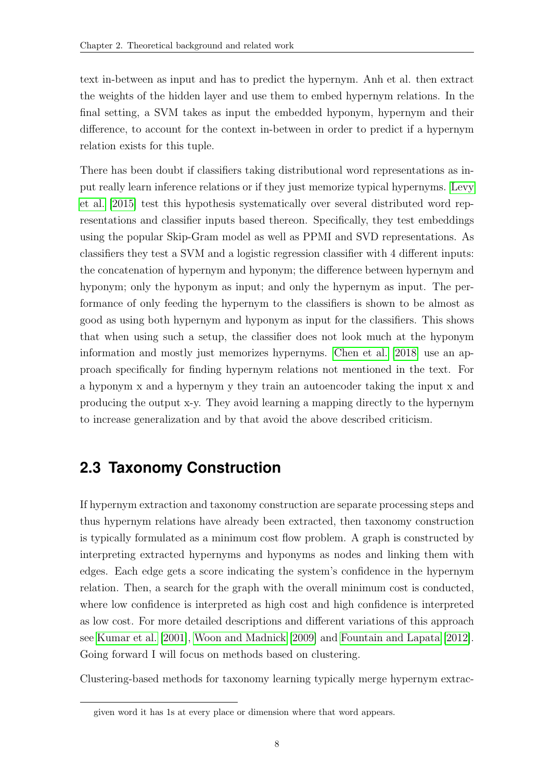text in-between as input and has to predict the hypernym. Anh et al. then extract the weights of the hidden layer and use them to embed hypernym relations. In the final setting, a SVM takes as input the embedded hyponym, hypernym and their difference, to account for the context in-between in order to predict if a hypernym relation exists for this tuple.

There has been doubt if classifiers taking distributional word representations as input really learn inference relations or if they just memorize typical hypernyms. [Levy](#page-46-5) [et al.](#page-46-5) [\[2015\]](#page-46-5) test this hypothesis systematically over several distributed word representations and classifier inputs based thereon. Specifically, they test embeddings using the popular Skip-Gram model as well as PPMI and SVD representations. As classifiers they test a SVM and a logistic regression classifier with 4 different inputs: the concatenation of hypernym and hyponym; the difference between hypernym and hyponym; only the hyponym as input; and only the hypernym as input. The performance of only feeding the hypernym to the classifiers is shown to be almost as good as using both hypernym and hyponym as input for the classifiers. This shows that when using such a setup, the classifier does not look much at the hyponym information and mostly just memorizes hypernyms. [Chen et al.](#page-45-9) [\[2018\]](#page-45-9) use an approach specifically for finding hypernym relations not mentioned in the text. For a hyponym x and a hypernym y they train an autoencoder taking the input x and producing the output x-y. They avoid learning a mapping directly to the hypernym to increase generalization and by that avoid the above described criticism.

## <span id="page-13-0"></span>**2.3 Taxonomy Construction**

If hypernym extraction and taxonomy construction are separate processing steps and thus hypernym relations have already been extracted, then taxonomy construction is typically formulated as a minimum cost flow problem. A graph is constructed by interpreting extracted hypernyms and hyponyms as nodes and linking them with edges. Each edge gets a score indicating the system's confidence in the hypernym relation. Then, a search for the graph with the overall minimum cost is conducted, where low confidence is interpreted as high cost and high confidence is interpreted as low cost. For more detailed descriptions and different variations of this approach see [Kumar et al.](#page-46-6) [\[2001\]](#page-46-6), [Woon and Madnick](#page-47-6) [\[2009\]](#page-47-6) and [Fountain and Lapata](#page-46-0) [\[2012\]](#page-46-0). Going forward I will focus on methods based on clustering.

Clustering-based methods for taxonomy learning typically merge hypernym extrac-

given word it has 1s at every place or dimension where that word appears.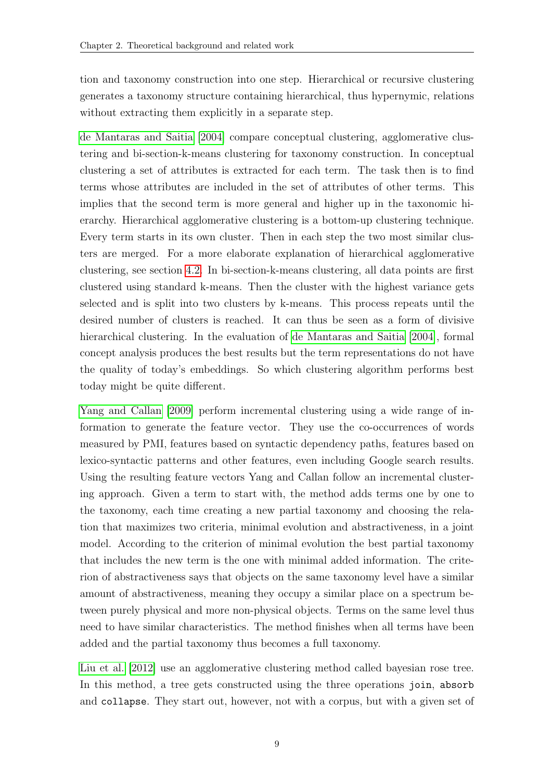tion and taxonomy construction into one step. Hierarchical or recursive clustering generates a taxonomy structure containing hierarchical, thus hypernymic, relations without extracting them explicitly in a separate step.

[de Mantaras and Saitia](#page-45-2) [\[2004\]](#page-45-2) compare conceptual clustering, agglomerative clustering and bi-section-k-means clustering for taxonomy construction. In conceptual clustering a set of attributes is extracted for each term. The task then is to find terms whose attributes are included in the set of attributes of other terms. This implies that the second term is more general and higher up in the taxonomic hierarchy. Hierarchical agglomerative clustering is a bottom-up clustering technique. Every term starts in its own cluster. Then in each step the two most similar clusters are merged. For a more elaborate explanation of hierarchical agglomerative clustering, see section [4.2.](#page-27-0) In bi-section-k-means clustering, all data points are first clustered using standard k-means. Then the cluster with the highest variance gets selected and is split into two clusters by k-means. This process repeats until the desired number of clusters is reached. It can thus be seen as a form of divisive hierarchical clustering. In the evaluation of [de Mantaras and Saitia](#page-45-2) [\[2004\]](#page-45-2), formal concept analysis produces the best results but the term representations do not have the quality of today's embeddings. So which clustering algorithm performs best today might be quite different.

[Yang and Callan](#page-48-0) [\[2009\]](#page-48-0) perform incremental clustering using a wide range of information to generate the feature vector. They use the co-occurrences of words measured by PMI, features based on syntactic dependency paths, features based on lexico-syntactic patterns and other features, even including Google search results. Using the resulting feature vectors Yang and Callan follow an incremental clustering approach. Given a term to start with, the method adds terms one by one to the taxonomy, each time creating a new partial taxonomy and choosing the relation that maximizes two criteria, minimal evolution and abstractiveness, in a joint model. According to the criterion of minimal evolution the best partial taxonomy that includes the new term is the one with minimal added information. The criterion of abstractiveness says that objects on the same taxonomy level have a similar amount of abstractiveness, meaning they occupy a similar place on a spectrum between purely physical and more non-physical objects. Terms on the same level thus need to have similar characteristics. The method finishes when all terms have been added and the partial taxonomy thus becomes a full taxonomy.

[Liu et al.](#page-47-0) [\[2012\]](#page-47-0) use an agglomerative clustering method called bayesian rose tree. In this method, a tree gets constructed using the three operations join, absorb and collapse. They start out, however, not with a corpus, but with a given set of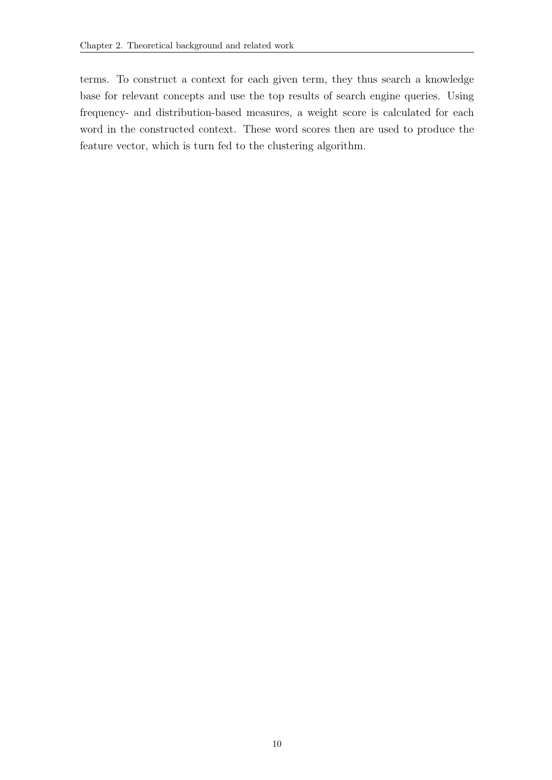terms. To construct a context for each given term, they thus search a knowledge base for relevant concepts and use the top results of search engine queries. Using frequency- and distribution-based measures, a weight score is calculated for each word in the constructed context. These word scores then are used to produce the feature vector, which is turn fed to the clustering algorithm.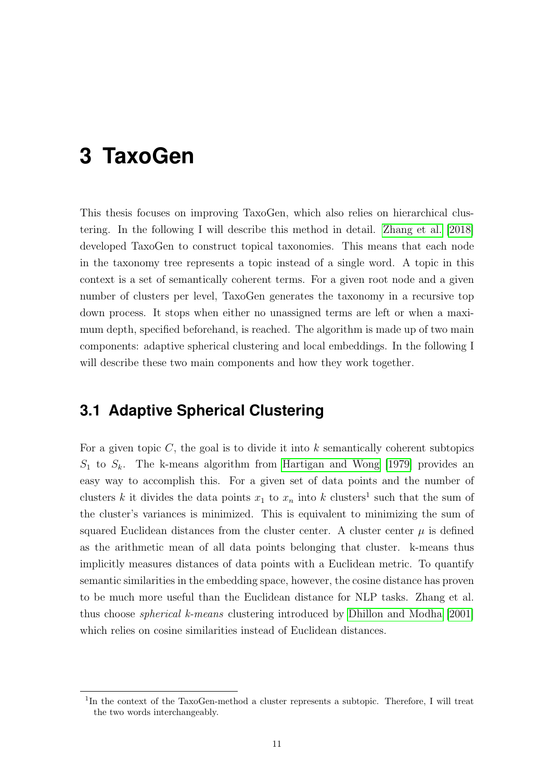## <span id="page-16-0"></span>**3 TaxoGen**

This thesis focuses on improving TaxoGen, which also relies on hierarchical clustering. In the following I will describe this method in detail. [Zhang et al.](#page-48-2) [\[2018\]](#page-48-2) developed TaxoGen to construct topical taxonomies. This means that each node in the taxonomy tree represents a topic instead of a single word. A topic in this context is a set of semantically coherent terms. For a given root node and a given number of clusters per level, TaxoGen generates the taxonomy in a recursive top down process. It stops when either no unassigned terms are left or when a maximum depth, specified beforehand, is reached. The algorithm is made up of two main components: adaptive spherical clustering and local embeddings. In the following I will describe these two main components and how they work together.

## <span id="page-16-1"></span>**3.1 Adaptive Spherical Clustering**

For a given topic  $C$ , the goal is to divide it into  $k$  semantically coherent subtopics  $S_1$  to  $S_k$ . The k-means algorithm from [Hartigan and Wong](#page-46-7) [\[1979\]](#page-46-7) provides an easy way to accomplish this. For a given set of data points and the number of clusters k it divides the data points  $x_1$  to  $x_n$  into k clusters<sup>1</sup> such that the sum of the cluster's variances is minimized. This is equivalent to minimizing the sum of squared Euclidean distances from the cluster center. A cluster center  $\mu$  is defined as the arithmetic mean of all data points belonging that cluster. k-means thus implicitly measures distances of data points with a Euclidean metric. To quantify semantic similarities in the embedding space, however, the cosine distance has proven to be much more useful than the Euclidean distance for NLP tasks. Zhang et al. thus choose spherical k-means clustering introduced by [Dhillon and Modha](#page-46-8) [\[2001\]](#page-46-8) which relies on cosine similarities instead of Euclidean distances.

<sup>&</sup>lt;sup>1</sup>In the context of the TaxoGen-method a cluster represents a subtopic. Therefore, I will treat the two words interchangeably.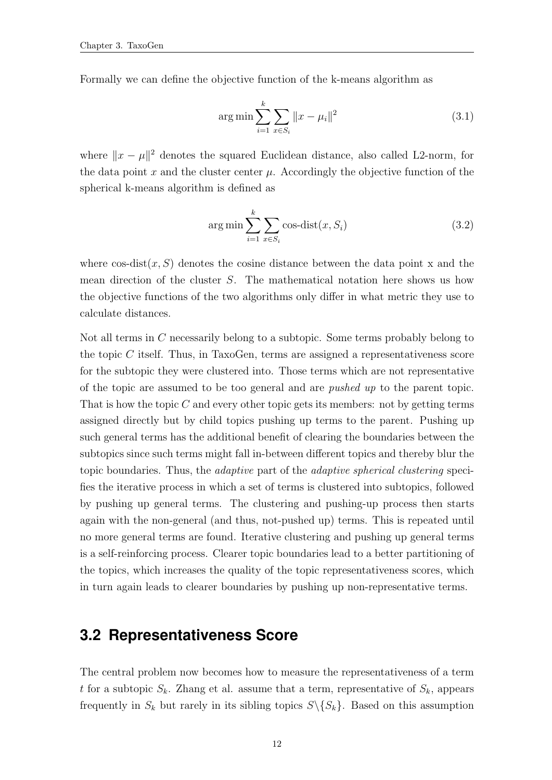Formally we can define the objective function of the k-means algorithm as

$$
\arg\min\sum_{i=1}^{k} \sum_{x \in S_i} ||x - \mu_i||^2
$$
\n(3.1)

where  $||x - \mu||^2$  denotes the squared Euclidean distance, also called L2-norm, for the data point x and the cluster center  $\mu$ . Accordingly the objective function of the spherical k-means algorithm is defined as

$$
\arg\min\sum_{i=1}^{k} \sum_{x \in S_i} \cos\text{-dist}(x, S_i)
$$
\n(3.2)

where  $\cos$ -dist $(x, S)$  denotes the cosine distance between the data point x and the mean direction of the cluster S. The mathematical notation here shows us how the objective functions of the two algorithms only differ in what metric they use to calculate distances.

Not all terms in C necessarily belong to a subtopic. Some terms probably belong to the topic  $C$  itself. Thus, in TaxoGen, terms are assigned a representativeness score for the subtopic they were clustered into. Those terms which are not representative of the topic are assumed to be too general and are pushed up to the parent topic. That is how the topic  $C$  and every other topic gets its members: not by getting terms assigned directly but by child topics pushing up terms to the parent. Pushing up such general terms has the additional benefit of clearing the boundaries between the subtopics since such terms might fall in-between different topics and thereby blur the topic boundaries. Thus, the adaptive part of the adaptive spherical clustering specifies the iterative process in which a set of terms is clustered into subtopics, followed by pushing up general terms. The clustering and pushing-up process then starts again with the non-general (and thus, not-pushed up) terms. This is repeated until no more general terms are found. Iterative clustering and pushing up general terms is a self-reinforcing process. Clearer topic boundaries lead to a better partitioning of the topics, which increases the quality of the topic representativeness scores, which in turn again leads to clearer boundaries by pushing up non-representative terms.

### <span id="page-17-0"></span>**3.2 Representativeness Score**

The central problem now becomes how to measure the representativeness of a term t for a subtopic  $S_k$ . Zhang et al. assume that a term, representative of  $S_k$ , appears frequently in  $S_k$  but rarely in its sibling topics  $S \setminus \{S_k\}$ . Based on this assumption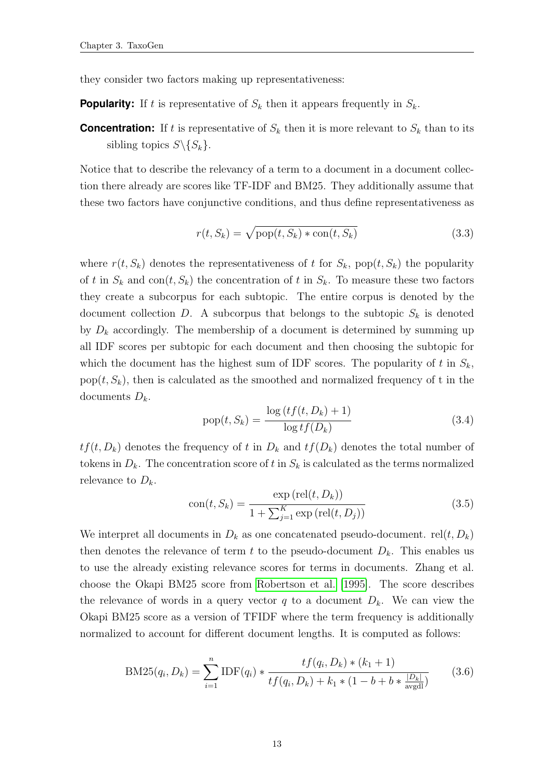they consider two factors making up representativeness:

**Popularity:** If t is representative of  $S_k$  then it appears frequently in  $S_k$ .

**Concentration:** If t is representative of  $S_k$  then it is more relevant to  $S_k$  than to its sibling topics  $S \setminus \{S_k\}.$ 

Notice that to describe the relevancy of a term to a document in a document collection there already are scores like TF-IDF and BM25. They additionally assume that these two factors have conjunctive conditions, and thus define representativeness as

$$
r(t, S_k) = \sqrt{\text{pop}(t, S_k) * \text{con}(t, S_k)}
$$
\n(3.3)

where  $r(t, S_k)$  denotes the representativeness of t for  $S_k$ , pop $(t, S_k)$  the popularity of t in  $S_k$  and con $(t, S_k)$  the concentration of t in  $S_k$ . To measure these two factors they create a subcorpus for each subtopic. The entire corpus is denoted by the document collection D. A subcorpus that belongs to the subtopic  $S_k$  is denoted by  $D_k$  accordingly. The membership of a document is determined by summing up all IDF scores per subtopic for each document and then choosing the subtopic for which the document has the highest sum of IDF scores. The popularity of t in  $S_k$ , pop $(t, S_k)$ , then is calculated as the smoothed and normalized frequency of t in the documents  $D_k$ .

<span id="page-18-0"></span>
$$
pop(t, S_k) = \frac{\log \left( t f(t, D_k) + 1 \right)}{\log t f(D_k)}
$$
\n(3.4)

 $tf(t, D_k)$  denotes the frequency of t in  $D_k$  and  $tf(D_k)$  denotes the total number of tokens in  $D_k$ . The concentration score of t in  $S_k$  is calculated as the terms normalized relevance to  $D_k$ .

$$
con(t, S_k) = \frac{\exp(\text{rel}(t, D_k))}{1 + \sum_{j=1}^{K} \exp(\text{rel}(t, D_j))}
$$
(3.5)

We interpret all documents in  $D_k$  as one concatenated pseudo-document. rel(t,  $D_k$ ) then denotes the relevance of term t to the pseudo-document  $D_k$ . This enables us to use the already existing relevance scores for terms in documents. Zhang et al. choose the Okapi BM25 score from [Robertson et al.](#page-47-7) [\[1995\]](#page-47-7). The score describes the relevance of words in a query vector q to a document  $D_k$ . We can view the Okapi BM25 score as a version of TFIDF where the term frequency is additionally normalized to account for different document lengths. It is computed as follows:

$$
BM25(q_i, D_k) = \sum_{i=1}^{n} IDF(q_i) * \frac{tf(q_i, D_k) * (k_1 + 1)}{tf(q_i, D_k) + k_1 * (1 - b + b * \frac{|D_k|}{\text{avgdl}})}
$$
(3.6)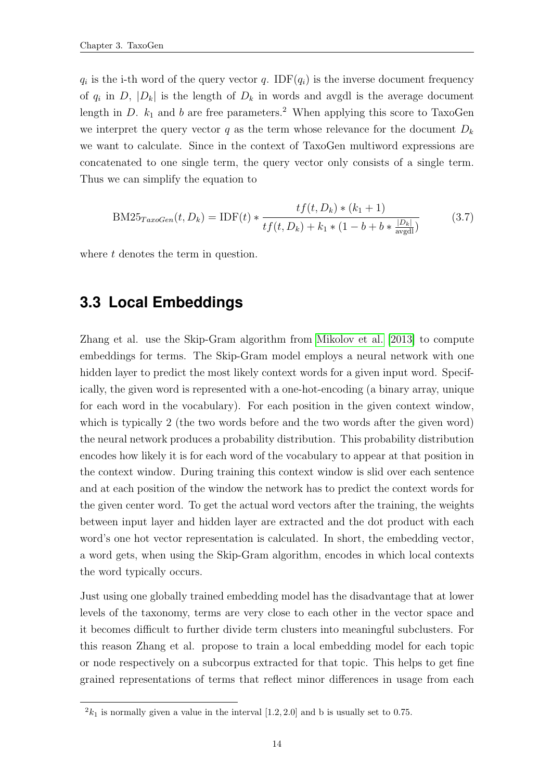$q_i$  is the i-th word of the query vector q. IDF $(q_i)$  is the inverse document frequency of  $q_i$  in D,  $|D_k|$  is the length of  $D_k$  in words and avgdl is the average document length in D.  $k_1$  and b are free parameters.<sup>2</sup> When applying this score to TaxoGen we interpret the query vector q as the term whose relevance for the document  $D_k$ we want to calculate. Since in the context of TaxoGen multiword expressions are concatenated to one single term, the query vector only consists of a single term. Thus we can simplify the equation to

$$
BM25_{TaxoGen}(t, D_k) = IDF(t) * \frac{tf(t, D_k) * (k_1 + 1)}{tf(t, D_k) + k_1 * (1 - b + b * \frac{|D_k|}{\text{avgdl}})}
$$
(3.7)

where t denotes the term in question.

### <span id="page-19-0"></span>**3.3 Local Embeddings**

Zhang et al. use the Skip-Gram algorithm from [Mikolov et al.](#page-47-3) [\[2013\]](#page-47-3) to compute embeddings for terms. The Skip-Gram model employs a neural network with one hidden layer to predict the most likely context words for a given input word. Specifically, the given word is represented with a one-hot-encoding (a binary array, unique for each word in the vocabulary). For each position in the given context window, which is typically 2 (the two words before and the two words after the given word) the neural network produces a probability distribution. This probability distribution encodes how likely it is for each word of the vocabulary to appear at that position in the context window. During training this context window is slid over each sentence and at each position of the window the network has to predict the context words for the given center word. To get the actual word vectors after the training, the weights between input layer and hidden layer are extracted and the dot product with each word's one hot vector representation is calculated. In short, the embedding vector, a word gets, when using the Skip-Gram algorithm, encodes in which local contexts the word typically occurs.

Just using one globally trained embedding model has the disadvantage that at lower levels of the taxonomy, terms are very close to each other in the vector space and it becomes difficult to further divide term clusters into meaningful subclusters. For this reason Zhang et al. propose to train a local embedding model for each topic or node respectively on a subcorpus extracted for that topic. This helps to get fine grained representations of terms that reflect minor differences in usage from each

 $2k_1$  is normally given a value in the interval [1.2, 2.0] and b is usually set to 0.75.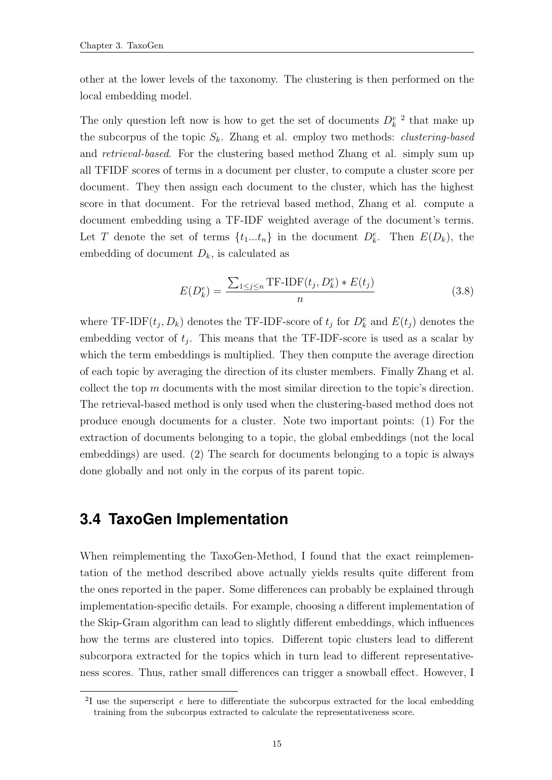other at the lower levels of the taxonomy. The clustering is then performed on the local embedding model.

The only question left now is how to get the set of documents  $D_k^e$  <sup>2</sup> that make up the subcorpus of the topic  $S_k$ . Zhang et al. employ two methods: *clustering-based* and retrieval-based. For the clustering based method Zhang et al. simply sum up all TFIDF scores of terms in a document per cluster, to compute a cluster score per document. They then assign each document to the cluster, which has the highest score in that document. For the retrieval based method, Zhang et al. compute a document embedding using a TF-IDF weighted average of the document's terms. Let T denote the set of terms  $\{t_1...t_n\}$  in the document  $D_k^e$ . Then  $E(D_k)$ , the embedding of document  $D_k$ , is calculated as

$$
E(D_k^e) = \frac{\sum_{1 \le j \le n} \text{TF-IDF}(t_j, D_k^e) * E(t_j)}{n} \tag{3.8}
$$

where TF-IDF $(t_j, D_k)$  denotes the TF-IDF-score of  $t_j$  for  $D_k^e$  and  $E(t_j)$  denotes the embedding vector of  $t_j$ . This means that the TF-IDF-score is used as a scalar by which the term embeddings is multiplied. They then compute the average direction of each topic by averaging the direction of its cluster members. Finally Zhang et al. collect the top m documents with the most similar direction to the topic's direction. The retrieval-based method is only used when the clustering-based method does not produce enough documents for a cluster. Note two important points: (1) For the extraction of documents belonging to a topic, the global embeddings (not the local embeddings) are used. (2) The search for documents belonging to a topic is always done globally and not only in the corpus of its parent topic.

### <span id="page-20-0"></span>**3.4 TaxoGen Implementation**

When reimplementing the TaxoGen-Method, I found that the exact reimplementation of the method described above actually yields results quite different from the ones reported in the paper. Some differences can probably be explained through implementation-specific details. For example, choosing a different implementation of the Skip-Gram algorithm can lead to slightly different embeddings, which influences how the terms are clustered into topics. Different topic clusters lead to different subcorpora extracted for the topics which in turn lead to different representativeness scores. Thus, rather small differences can trigger a snowball effect. However, I

<sup>&</sup>lt;sup>2</sup>I use the superscript  $e$  here to differentiate the subcorpus extracted for the local embedding training from the subcorpus extracted to calculate the representativeness score.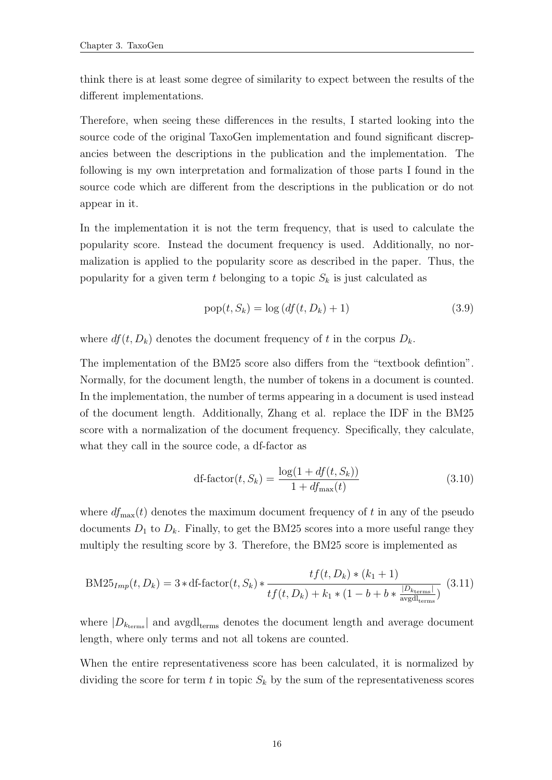think there is at least some degree of similarity to expect between the results of the different implementations.

Therefore, when seeing these differences in the results, I started looking into the source code of the original TaxoGen implementation and found significant discrepancies between the descriptions in the publication and the implementation. The following is my own interpretation and formalization of those parts I found in the source code which are different from the descriptions in the publication or do not appear in it.

In the implementation it is not the term frequency, that is used to calculate the popularity score. Instead the document frequency is used. Additionally, no normalization is applied to the popularity score as described in the paper. Thus, the popularity for a given term t belonging to a topic  $S_k$  is just calculated as

$$
pop(t, S_k) = log (df(t, D_k) + 1)
$$
\n(3.9)

where  $df(t, D_k)$  denotes the document frequency of t in the corpus  $D_k$ .

The implementation of the BM25 score also differs from the "textbook defintion". Normally, for the document length, the number of tokens in a document is counted. In the implementation, the number of terms appearing in a document is used instead of the document length. Additionally, Zhang et al. replace the IDF in the BM25 score with a normalization of the document frequency. Specifically, they calculate, what they call in the source code, a df-factor as

$$
\text{df-factor}(t, S_k) = \frac{\log(1 + df(t, S_k))}{1 + df_{\text{max}}(t)}\tag{3.10}
$$

where  $df_{\text{max}}(t)$  denotes the maximum document frequency of t in any of the pseudo documents  $D_1$  to  $D_k$ . Finally, to get the BM25 scores into a more useful range they multiply the resulting score by 3. Therefore, the BM25 score is implemented as

$$
BM25_{Imp}(t, D_k) = 3 * df \cdot factor(t, S_k) * \frac{tf(t, D_k) * (k_1 + 1)}{tf(t, D_k) + k_1 * (1 - b + b * \frac{|D_{k_{\text{terms}}}|}{\text{avgdl}_{\text{terms}}})}
$$
(3.11)

where  $|D_{k_{\text{terms}}}|$  and avgdl<sub>terms</sub> denotes the document length and average document length, where only terms and not all tokens are counted.

When the entire representativeness score has been calculated, it is normalized by dividing the score for term t in topic  $S_k$  by the sum of the representativeness scores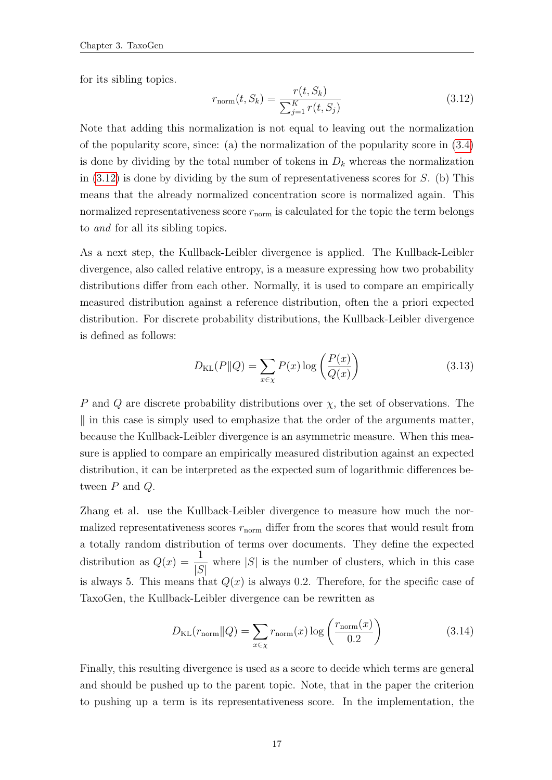for its sibling topics.

<span id="page-22-0"></span>
$$
r_{\text{norm}}(t, S_k) = \frac{r(t, S_k)}{\sum_{j=1}^{K} r(t, S_j)}
$$
(3.12)

Note that adding this normalization is not equal to leaving out the normalization of the popularity score, since: (a) the normalization of the popularity score in [\(3.4\)](#page-18-0) is done by dividing by the total number of tokens in  $D_k$  whereas the normalization in  $(3.12)$  is done by dividing by the sum of representativeness scores for S. (b) This means that the already normalized concentration score is normalized again. This normalized representativeness score  $r_{\text{norm}}$  is calculated for the topic the term belongs to and for all its sibling topics.

As a next step, the Kullback-Leibler divergence is applied. The Kullback-Leibler divergence, also called relative entropy, is a measure expressing how two probability distributions differ from each other. Normally, it is used to compare an empirically measured distribution against a reference distribution, often the a priori expected distribution. For discrete probability distributions, the Kullback-Leibler divergence is defined as follows:

$$
D_{\text{KL}}(P||Q) = \sum_{x \in \chi} P(x) \log \left( \frac{P(x)}{Q(x)} \right) \tag{3.13}
$$

P and Q are discrete probability distributions over  $\chi$ , the set of observations. The  $\parallel$  in this case is simply used to emphasize that the order of the arguments matter, because the Kullback-Leibler divergence is an asymmetric measure. When this measure is applied to compare an empirically measured distribution against an expected distribution, it can be interpreted as the expected sum of logarithmic differences between  $P$  and  $Q$ .

Zhang et al. use the Kullback-Leibler divergence to measure how much the normalized representativeness scores  $r_{\text{norm}}$  differ from the scores that would result from a totally random distribution of terms over documents. They define the expected distribution as  $Q(x) = \frac{1}{16}$  $|S|$ where  $|S|$  is the number of clusters, which in this case is always 5. This means that  $Q(x)$  is always 0.2. Therefore, for the specific case of TaxoGen, the Kullback-Leibler divergence can be rewritten as

$$
D_{\text{KL}}(r_{\text{norm}}||Q) = \sum_{x \in \chi} r_{\text{norm}}(x) \log \left( \frac{r_{\text{norm}}(x)}{0.2} \right)
$$
(3.14)

Finally, this resulting divergence is used as a score to decide which terms are general and should be pushed up to the parent topic. Note, that in the paper the criterion to pushing up a term is its representativeness score. In the implementation, the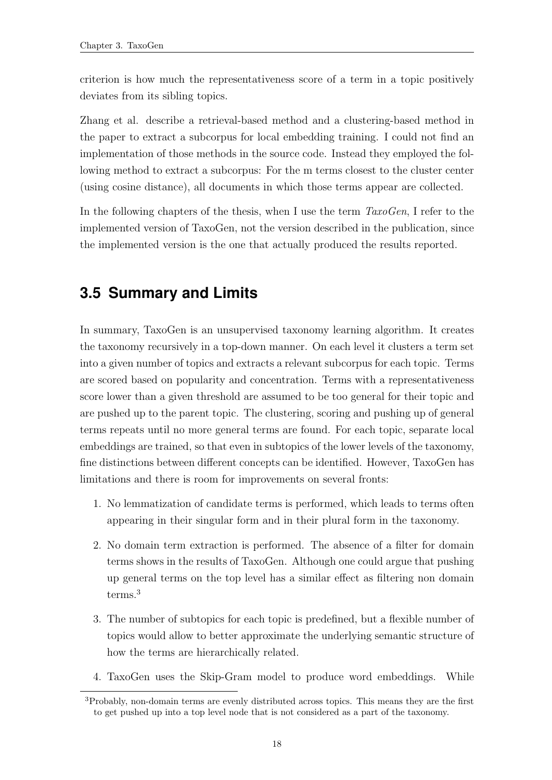criterion is how much the representativeness score of a term in a topic positively deviates from its sibling topics.

Zhang et al. describe a retrieval-based method and a clustering-based method in the paper to extract a subcorpus for local embedding training. I could not find an implementation of those methods in the source code. Instead they employed the following method to extract a subcorpus: For the m terms closest to the cluster center (using cosine distance), all documents in which those terms appear are collected.

In the following chapters of the thesis, when I use the term  $TaxoGen$ , I refer to the implemented version of TaxoGen, not the version described in the publication, since the implemented version is the one that actually produced the results reported.

## <span id="page-23-0"></span>**3.5 Summary and Limits**

In summary, TaxoGen is an unsupervised taxonomy learning algorithm. It creates the taxonomy recursively in a top-down manner. On each level it clusters a term set into a given number of topics and extracts a relevant subcorpus for each topic. Terms are scored based on popularity and concentration. Terms with a representativeness score lower than a given threshold are assumed to be too general for their topic and are pushed up to the parent topic. The clustering, scoring and pushing up of general terms repeats until no more general terms are found. For each topic, separate local embeddings are trained, so that even in subtopics of the lower levels of the taxonomy, fine distinctions between different concepts can be identified. However, TaxoGen has limitations and there is room for improvements on several fronts:

- 1. No lemmatization of candidate terms is performed, which leads to terms often appearing in their singular form and in their plural form in the taxonomy.
- 2. No domain term extraction is performed. The absence of a filter for domain terms shows in the results of TaxoGen. Although one could argue that pushing up general terms on the top level has a similar effect as filtering non domain terms.<sup>3</sup>
- 3. The number of subtopics for each topic is predefined, but a flexible number of topics would allow to better approximate the underlying semantic structure of how the terms are hierarchically related.
- 4. TaxoGen uses the Skip-Gram model to produce word embeddings. While

<sup>3</sup>Probably, non-domain terms are evenly distributed across topics. This means they are the first to get pushed up into a top level node that is not considered as a part of the taxonomy.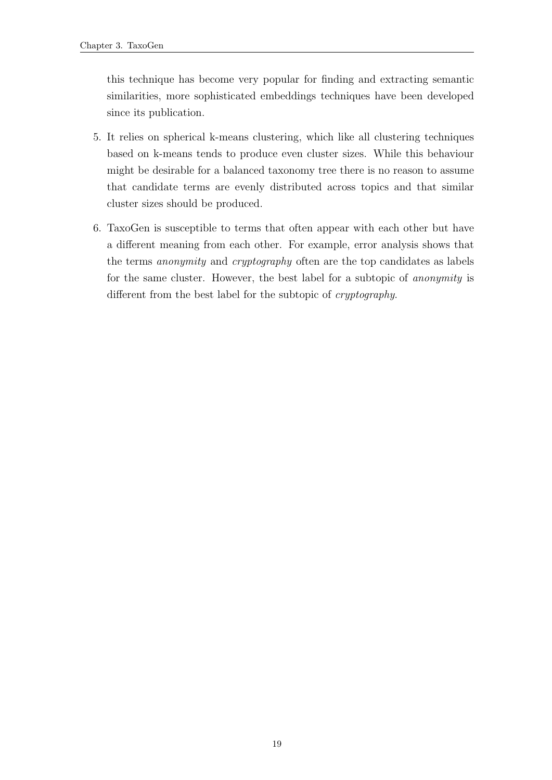this technique has become very popular for finding and extracting semantic similarities, more sophisticated embeddings techniques have been developed since its publication.

- 5. It relies on spherical k-means clustering, which like all clustering techniques based on k-means tends to produce even cluster sizes. While this behaviour might be desirable for a balanced taxonomy tree there is no reason to assume that candidate terms are evenly distributed across topics and that similar cluster sizes should be produced.
- 6. TaxoGen is susceptible to terms that often appear with each other but have a different meaning from each other. For example, error analysis shows that the terms anonymity and cryptography often are the top candidates as labels for the same cluster. However, the best label for a subtopic of anonymity is different from the best label for the subtopic of *cryptography*.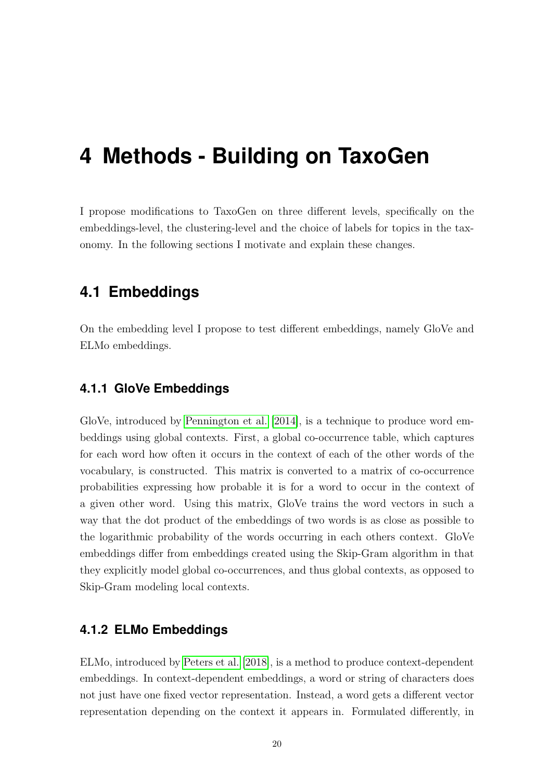## <span id="page-25-0"></span>**4 Methods - Building on TaxoGen**

I propose modifications to TaxoGen on three different levels, specifically on the embeddings-level, the clustering-level and the choice of labels for topics in the taxonomy. In the following sections I motivate and explain these changes.

### <span id="page-25-1"></span>**4.1 Embeddings**

On the embedding level I propose to test different embeddings, namely GloVe and ELMo embeddings.

#### <span id="page-25-2"></span>**4.1.1 GloVe Embeddings**

GloVe, introduced by [Pennington et al.](#page-47-8) [\[2014\]](#page-47-8), is a technique to produce word embeddings using global contexts. First, a global co-occurrence table, which captures for each word how often it occurs in the context of each of the other words of the vocabulary, is constructed. This matrix is converted to a matrix of co-occurrence probabilities expressing how probable it is for a word to occur in the context of a given other word. Using this matrix, GloVe trains the word vectors in such a way that the dot product of the embeddings of two words is as close as possible to the logarithmic probability of the words occurring in each others context. GloVe embeddings differ from embeddings created using the Skip-Gram algorithm in that they explicitly model global co-occurrences, and thus global contexts, as opposed to Skip-Gram modeling local contexts.

#### <span id="page-25-3"></span>**4.1.2 ELMo Embeddings**

ELMo, introduced by [Peters et al.](#page-47-9) [\[2018\]](#page-47-9), is a method to produce context-dependent embeddings. In context-dependent embeddings, a word or string of characters does not just have one fixed vector representation. Instead, a word gets a different vector representation depending on the context it appears in. Formulated differently, in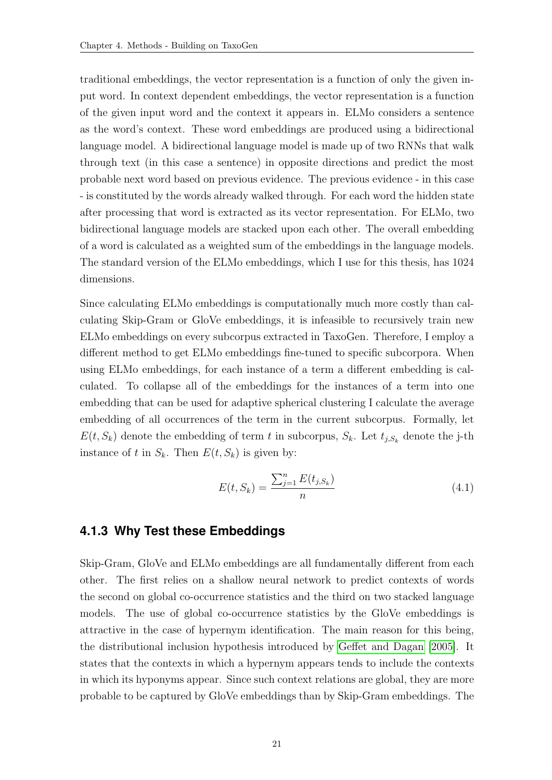traditional embeddings, the vector representation is a function of only the given input word. In context dependent embeddings, the vector representation is a function of the given input word and the context it appears in. ELMo considers a sentence as the word's context. These word embeddings are produced using a bidirectional language model. A bidirectional language model is made up of two RNNs that walk through text (in this case a sentence) in opposite directions and predict the most probable next word based on previous evidence. The previous evidence - in this case - is constituted by the words already walked through. For each word the hidden state after processing that word is extracted as its vector representation. For ELMo, two bidirectional language models are stacked upon each other. The overall embedding of a word is calculated as a weighted sum of the embeddings in the language models. The standard version of the ELMo embeddings, which I use for this thesis, has 1024 dimensions.

Since calculating ELMo embeddings is computationally much more costly than calculating Skip-Gram or GloVe embeddings, it is infeasible to recursively train new ELMo embeddings on every subcorpus extracted in TaxoGen. Therefore, I employ a different method to get ELMo embeddings fine-tuned to specific subcorpora. When using ELMo embeddings, for each instance of a term a different embedding is calculated. To collapse all of the embeddings for the instances of a term into one embedding that can be used for adaptive spherical clustering I calculate the average embedding of all occurrences of the term in the current subcorpus. Formally, let  $E(t, S_k)$  denote the embedding of term t in subcorpus,  $S_k$ . Let  $t_{j, S_k}$  denote the j-th instance of t in  $S_k$ . Then  $E(t, S_k)$  is given by:

$$
E(t, S_k) = \frac{\sum_{j=1}^{n} E(t_{j, S_k})}{n}
$$
\n(4.1)

#### <span id="page-26-0"></span>**4.1.3 Why Test these Embeddings**

Skip-Gram, GloVe and ELMo embeddings are all fundamentally different from each other. The first relies on a shallow neural network to predict contexts of words the second on global co-occurrence statistics and the third on two stacked language models. The use of global co-occurrence statistics by the GloVe embeddings is attractive in the case of hypernym identification. The main reason for this being, the distributional inclusion hypothesis introduced by [Geffet and Dagan](#page-46-9) [\[2005\]](#page-46-9). It states that the contexts in which a hypernym appears tends to include the contexts in which its hyponyms appear. Since such context relations are global, they are more probable to be captured by GloVe embeddings than by Skip-Gram embeddings. The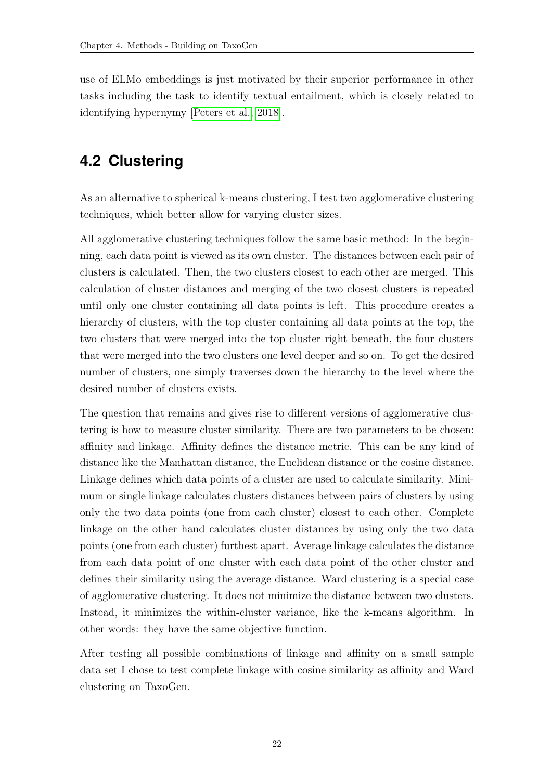use of ELMo embeddings is just motivated by their superior performance in other tasks including the task to identify textual entailment, which is closely related to identifying hypernymy [\[Peters et al., 2018\]](#page-47-9).

## <span id="page-27-0"></span>**4.2 Clustering**

As an alternative to spherical k-means clustering, I test two agglomerative clustering techniques, which better allow for varying cluster sizes.

All agglomerative clustering techniques follow the same basic method: In the beginning, each data point is viewed as its own cluster. The distances between each pair of clusters is calculated. Then, the two clusters closest to each other are merged. This calculation of cluster distances and merging of the two closest clusters is repeated until only one cluster containing all data points is left. This procedure creates a hierarchy of clusters, with the top cluster containing all data points at the top, the two clusters that were merged into the top cluster right beneath, the four clusters that were merged into the two clusters one level deeper and so on. To get the desired number of clusters, one simply traverses down the hierarchy to the level where the desired number of clusters exists.

The question that remains and gives rise to different versions of agglomerative clustering is how to measure cluster similarity. There are two parameters to be chosen: affinity and linkage. Affinity defines the distance metric. This can be any kind of distance like the Manhattan distance, the Euclidean distance or the cosine distance. Linkage defines which data points of a cluster are used to calculate similarity. Minimum or single linkage calculates clusters distances between pairs of clusters by using only the two data points (one from each cluster) closest to each other. Complete linkage on the other hand calculates cluster distances by using only the two data points (one from each cluster) furthest apart. Average linkage calculates the distance from each data point of one cluster with each data point of the other cluster and defines their similarity using the average distance. Ward clustering is a special case of agglomerative clustering. It does not minimize the distance between two clusters. Instead, it minimizes the within-cluster variance, like the k-means algorithm. In other words: they have the same objective function.

After testing all possible combinations of linkage and affinity on a small sample data set I chose to test complete linkage with cosine similarity as affinity and Ward clustering on TaxoGen.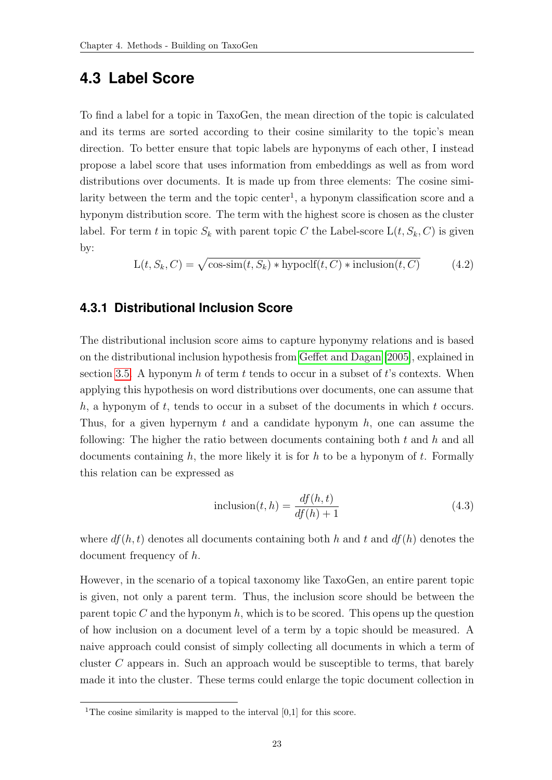## <span id="page-28-0"></span>**4.3 Label Score**

To find a label for a topic in TaxoGen, the mean direction of the topic is calculated and its terms are sorted according to their cosine similarity to the topic's mean direction. To better ensure that topic labels are hyponyms of each other, I instead propose a label score that uses information from embeddings as well as from word distributions over documents. It is made up from three elements: The cosine similarity between the term and the topic center<sup>1</sup>, a hyponym classification score and a hyponym distribution score. The term with the highest score is chosen as the cluster label. For term t in topic  $S_k$  with parent topic C the Label-score  $L(t, S_k, C)$  is given by:

$$
L(t, S_k, C) = \sqrt{\cos\sin(t, S_k) * \text{hypoclf}(t, C) * \text{inclusion}(t, C)}
$$
(4.2)

#### <span id="page-28-1"></span>**4.3.1 Distributional Inclusion Score**

The distributional inclusion score aims to capture hyponymy relations and is based on the distributional inclusion hypothesis from [Geffet and Dagan](#page-46-9) [\[2005\]](#page-46-9), explained in section [3.5.](#page-23-0) A hyponym h of term t tends to occur in a subset of t's contexts. When applying this hypothesis on word distributions over documents, one can assume that  $h$ , a hyponym of t, tends to occur in a subset of the documents in which t occurs. Thus, for a given hypernym t and a candidate hyponym  $h$ , one can assume the following: The higher the ratio between documents containing both  $t$  and  $h$  and all documents containing h, the more likely it is for h to be a hyponym of t. Formally this relation can be expressed as

$$
inclusion(t, h) = \frac{df(h, t)}{df(h) + 1}
$$
\n(4.3)

where  $df(h, t)$  denotes all documents containing both h and t and  $df(h)$  denotes the document frequency of h.

However, in the scenario of a topical taxonomy like TaxoGen, an entire parent topic is given, not only a parent term. Thus, the inclusion score should be between the parent topic C and the hyponym h, which is to be scored. This opens up the question of how inclusion on a document level of a term by a topic should be measured. A naive approach could consist of simply collecting all documents in which a term of cluster C appears in. Such an approach would be susceptible to terms, that barely made it into the cluster. These terms could enlarge the topic document collection in

<sup>&</sup>lt;sup>1</sup>The cosine similarity is mapped to the interval  $[0,1]$  for this score.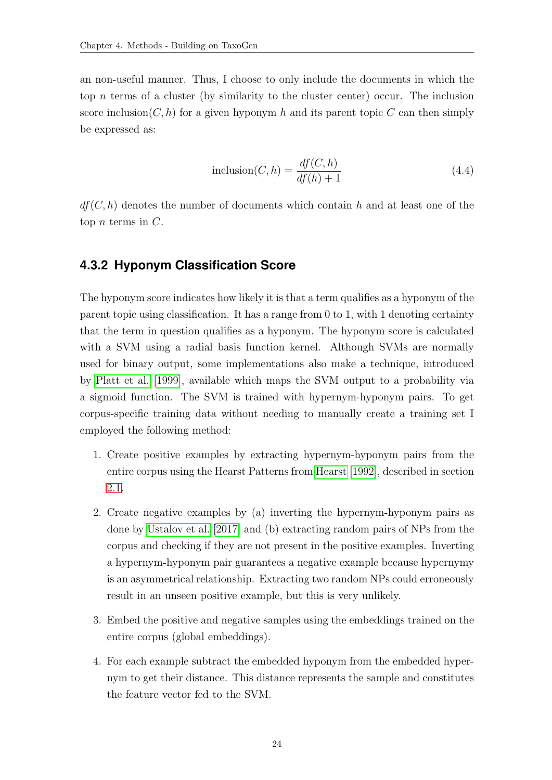an non-useful manner. Thus, I choose to only include the documents in which the top  $n$  terms of a cluster (by similarity to the cluster center) occur. The inclusion score inclusion( $C, h$ ) for a given hyponym h and its parent topic C can then simply be expressed as:

<span id="page-29-1"></span>
$$
inclusion(C, h) = \frac{df(C, h)}{df(h) + 1}
$$
\n(4.4)

 $df(C, h)$  denotes the number of documents which contain h and at least one of the top *n* terms in  $C$ .

#### <span id="page-29-0"></span>**4.3.2 Hyponym Classification Score**

The hyponym score indicates how likely it is that a term qualifies as a hyponym of the parent topic using classification. It has a range from 0 to 1, with 1 denoting certainty that the term in question qualifies as a hyponym. The hyponym score is calculated with a SVM using a radial basis function kernel. Although SVMs are normally used for binary output, some implementations also make a technique, introduced by [Platt et al.](#page-47-10) [\[1999\]](#page-47-10), available which maps the SVM output to a probability via a sigmoid function. The SVM is trained with hypernym-hyponym pairs. To get corpus-specific training data without needing to manually create a training set I employed the following method:

- 1. Create positive examples by extracting hypernym-hyponym pairs from the entire corpus using the Hearst Patterns from [Hearst](#page-46-1) [\[1992\]](#page-46-1), described in section [2.1.](#page-9-0)
- 2. Create negative examples by (a) inverting the hypernym-hyponym pairs as done by [Ustalov et al.](#page-47-5) [\[2017\]](#page-47-5) and (b) extracting random pairs of NPs from the corpus and checking if they are not present in the positive examples. Inverting a hypernym-hyponym pair guarantees a negative example because hypernymy is an asymmetrical relationship. Extracting two random NPs could erroneously result in an unseen positive example, but this is very unlikely.
- 3. Embed the positive and negative samples using the embeddings trained on the entire corpus (global embeddings).
- 4. For each example subtract the embedded hyponym from the embedded hypernym to get their distance. This distance represents the sample and constitutes the feature vector fed to the SVM.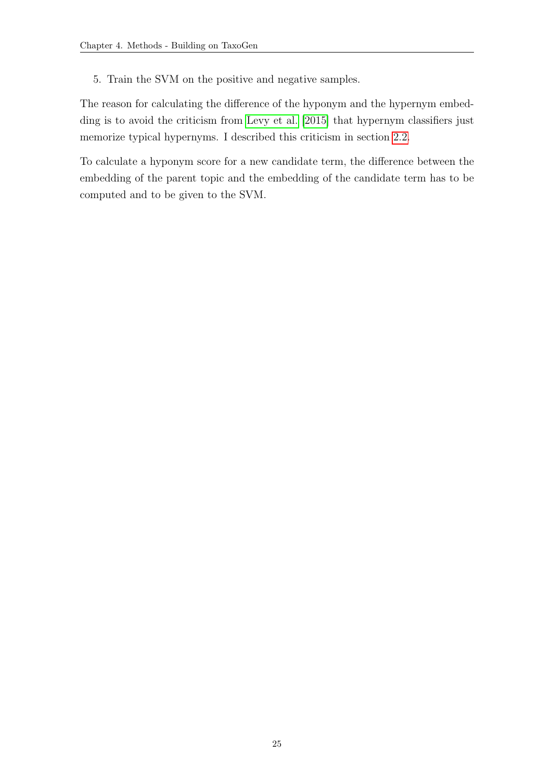5. Train the SVM on the positive and negative samples.

The reason for calculating the difference of the hyponym and the hypernym embedding is to avoid the criticism from [Levy et al.](#page-46-5) [\[2015\]](#page-46-5) that hypernym classifiers just memorize typical hypernyms. I described this criticism in section [2.2.](#page-11-0)

To calculate a hyponym score for a new candidate term, the difference between the embedding of the parent topic and the embedding of the candidate term has to be computed and to be given to the SVM.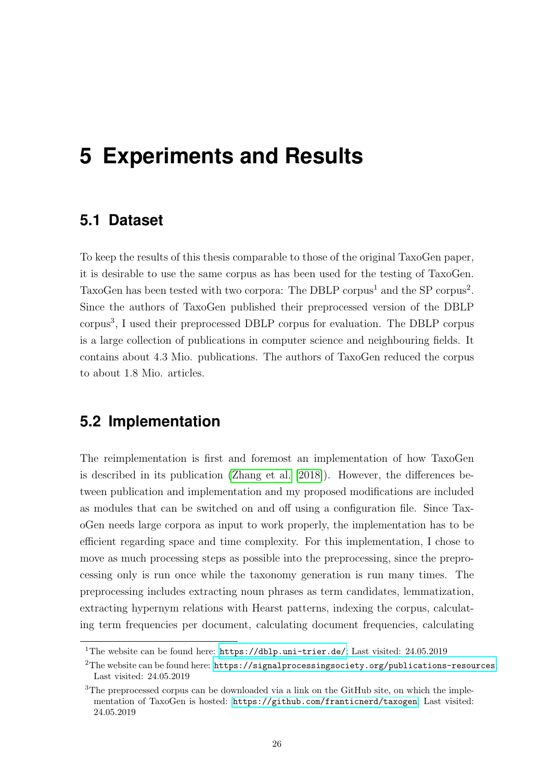## <span id="page-31-0"></span>**5 Experiments and Results**

### <span id="page-31-1"></span>**5.1 Dataset**

To keep the results of this thesis comparable to those of the original TaxoGen paper, it is desirable to use the same corpus as has been used for the testing of TaxoGen. TaxoGen has been tested with two corpora: The DBLP corpus<sup>1</sup> and the SP corpus<sup>2</sup>. Since the authors of TaxoGen published their preprocessed version of the DBLP corpus<sup>3</sup>, I used their preprocessed DBLP corpus for evaluation. The DBLP corpus is a large collection of publications in computer science and neighbouring fields. It contains about 4.3 Mio. publications. The authors of TaxoGen reduced the corpus to about 1.8 Mio. articles.

## <span id="page-31-2"></span>**5.2 Implementation**

The reimplementation is first and foremost an implementation of how TaxoGen is described in its publication [\(Zhang et al.](#page-48-2) [\[2018\]](#page-48-2)). However, the differences between publication and implementation and my proposed modifications are included as modules that can be switched on and off using a configuration file. Since TaxoGen needs large corpora as input to work properly, the implementation has to be efficient regarding space and time complexity. For this implementation, I chose to move as much processing steps as possible into the preprocessing, since the preprocessing only is run once while the taxonomy generation is run many times. The preprocessing includes extracting noun phrases as term candidates, lemmatization, extracting hypernym relations with Hearst patterns, indexing the corpus, calculating term frequencies per document, calculating document frequencies, calculating

<sup>&</sup>lt;sup>1</sup>The website can be found here:  $https://db1p.uni-trier.de/$ ; Last visited: 24.05.2019

<sup>&</sup>lt;sup>2</sup>The website can be found here: <https://signalprocessingsociety.org/publications-resources>; Last visited: 24.05.2019

<sup>&</sup>lt;sup>3</sup>The preprocessed corpus can be downloaded via a link on the GitHub site, on which the implementation of TaxoGen is hosted: <https://github.com/franticnerd/taxogen>; Last visited: 24.05.2019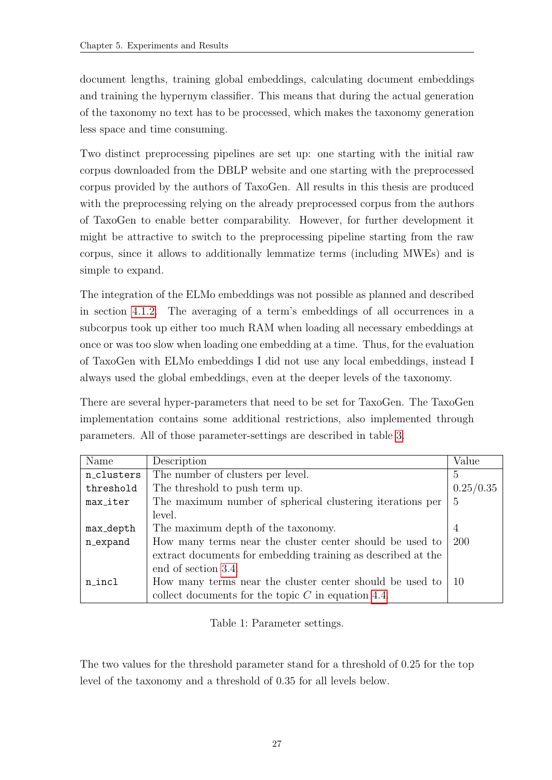document lengths, training global embeddings, calculating document embeddings and training the hypernym classifier. This means that during the actual generation of the taxonomy no text has to be processed, which makes the taxonomy generation less space and time consuming.

Two distinct preprocessing pipelines are set up: one starting with the initial raw corpus downloaded from the DBLP website and one starting with the preprocessed corpus provided by the authors of TaxoGen. All results in this thesis are produced with the preprocessing relying on the already preprocessed corpus from the authors of TaxoGen to enable better comparability. However, for further development it might be attractive to switch to the preprocessing pipeline starting from the raw corpus, since it allows to additionally lemmatize terms (including MWEs) and is simple to expand.

The integration of the ELMo embeddings was not possible as planned and described in section [4.1.2.](#page-25-3) The averaging of a term's embeddings of all occurrences in a subcorpus took up either too much RAM when loading all necessary embeddings at once or was too slow when loading one embedding at a time. Thus, for the evaluation of TaxoGen with ELMo embeddings I did not use any local embeddings, instead I always used the global embeddings, even at the deeper levels of the taxonomy.

There are several hyper-parameters that need to be set for TaxoGen. The TaxoGen implementation contains some additional restrictions, also implemented through parameters. All of those parameter-settings are described in table [3.](#page-0-0)

| Name       | Description                                                  | Value          |
|------------|--------------------------------------------------------------|----------------|
| n_clusters | The number of clusters per level.                            | 5              |
| threshold  | The threshold to push term up.                               | 0.25/0.35      |
| max_iter   | The maximum number of spherical clustering iterations per    | 5              |
|            | level.                                                       |                |
| max_depth  | The maximum depth of the taxonomy.                           | $\overline{4}$ |
| n_expand   | How many terms near the cluster center should be used to     | 200            |
|            | extract documents for embedding training as described at the |                |
|            | end of section 3.4.                                          |                |
| n_incl     | How many terms near the cluster center should be used to     | -10            |
|            | collect documents for the topic $C$ in equation 4.4.         |                |

Table 1: Parameter settings.

The two values for the threshold parameter stand for a threshold of 0.25 for the top level of the taxonomy and a threshold of 0.35 for all levels below.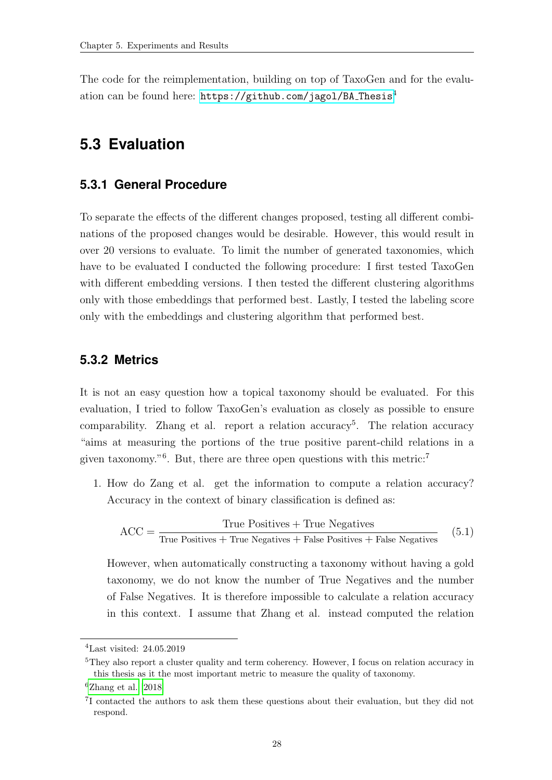The code for the reimplementation, building on top of TaxoGen and for the evaluation can be found here: [https://github.com/jagol/BA](https://github.com/jagol/BA_Thesis) Thesis<sup>4</sup>

## <span id="page-33-0"></span>**5.3 Evaluation**

#### <span id="page-33-1"></span>**5.3.1 General Procedure**

To separate the effects of the different changes proposed, testing all different combinations of the proposed changes would be desirable. However, this would result in over 20 versions to evaluate. To limit the number of generated taxonomies, which have to be evaluated I conducted the following procedure: I first tested TaxoGen with different embedding versions. I then tested the different clustering algorithms only with those embeddings that performed best. Lastly, I tested the labeling score only with the embeddings and clustering algorithm that performed best.

#### <span id="page-33-2"></span>**5.3.2 Metrics**

It is not an easy question how a topical taxonomy should be evaluated. For this evaluation, I tried to follow TaxoGen's evaluation as closely as possible to ensure  $\alpha$  comparability. Zhang et al. report a relation accuracy<sup>5</sup>. The relation accuracy "aims at measuring the portions of the true positive parent-child relations in a given taxonomy."<sup>6</sup>. But, there are three open questions with this metric:<sup>7</sup>

1. How do Zang et al. get the information to compute a relation accuracy? Accuracy in the context of binary classification is defined as:

$$
ACC = \frac{True \ Positive + True \ Negative}{True \ Positive + True \ Negative + False \ Positive + False \ Positive} \tag{5.1}
$$

However, when automatically constructing a taxonomy without having a gold taxonomy, we do not know the number of True Negatives and the number of False Negatives. It is therefore impossible to calculate a relation accuracy in this context. I assume that Zhang et al. instead computed the relation

<sup>4</sup>Last visited: 24.05.2019

<sup>&</sup>lt;sup>5</sup>They also report a cluster quality and term coherency. However, I focus on relation accuracy in this thesis as it the most important metric to measure the quality of taxonomy.

 ${}^{6}$ [Zhang et al.](#page-48-2) [\[2018\]](#page-48-2)

<sup>&</sup>lt;sup>7</sup>I contacted the authors to ask them these questions about their evaluation, but they did not respond.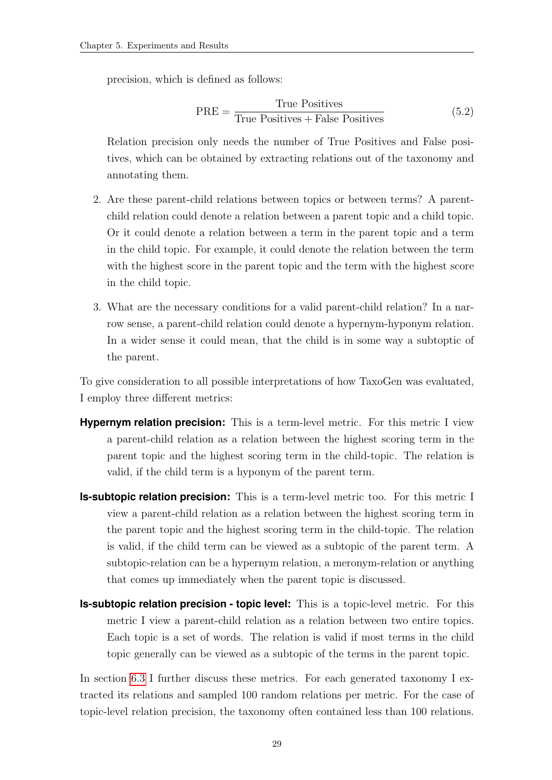precision, which is defined as follows:

$$
PRE = \frac{True \; Positive}{True \; Positive + False \; Positive} \tag{5.2}
$$

Relation precision only needs the number of True Positives and False positives, which can be obtained by extracting relations out of the taxonomy and annotating them.

- 2. Are these parent-child relations between topics or between terms? A parentchild relation could denote a relation between a parent topic and a child topic. Or it could denote a relation between a term in the parent topic and a term in the child topic. For example, it could denote the relation between the term with the highest score in the parent topic and the term with the highest score in the child topic.
- 3. What are the necessary conditions for a valid parent-child relation? In a narrow sense, a parent-child relation could denote a hypernym-hyponym relation. In a wider sense it could mean, that the child is in some way a subtoptic of the parent.

To give consideration to all possible interpretations of how TaxoGen was evaluated, I employ three different metrics:

- **Hypernym relation precision:** This is a term-level metric. For this metric I view a parent-child relation as a relation between the highest scoring term in the parent topic and the highest scoring term in the child-topic. The relation is valid, if the child term is a hyponym of the parent term.
- **Is-subtopic relation precision:** This is a term-level metric too. For this metric I view a parent-child relation as a relation between the highest scoring term in the parent topic and the highest scoring term in the child-topic. The relation is valid, if the child term can be viewed as a subtopic of the parent term. A subtopic-relation can be a hypernym relation, a meronym-relation or anything that comes up immediately when the parent topic is discussed.
- **Is-subtopic relation precision topic level:** This is a topic-level metric. For this metric I view a parent-child relation as a relation between two entire topics. Each topic is a set of words. The relation is valid if most terms in the child topic generally can be viewed as a subtopic of the terms in the parent topic.

In section [6.3](#page-40-1) I further discuss these metrics. For each generated taxonomy I extracted its relations and sampled 100 random relations per metric. For the case of topic-level relation precision, the taxonomy often contained less than 100 relations.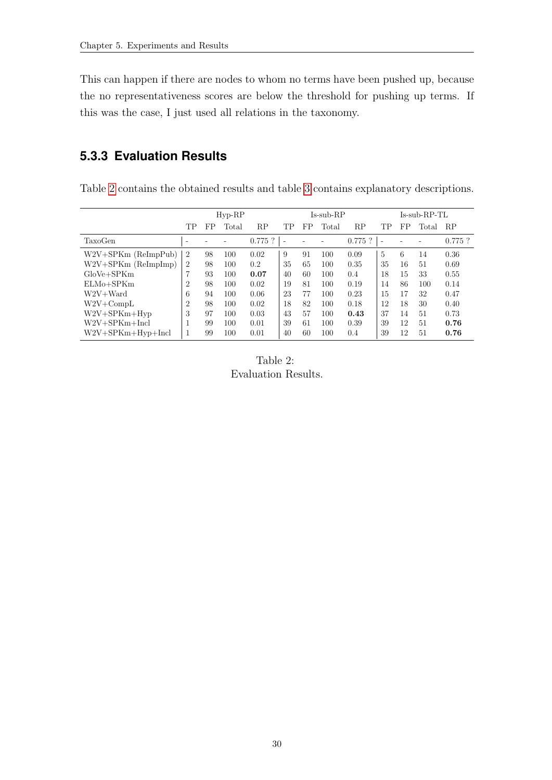This can happen if there are nodes to whom no terms have been pushed up, because the no representativeness scores are below the threshold for pushing up terms. If this was the case, I just used all relations in the taxonomy.

### <span id="page-35-0"></span>**5.3.3 Evaluation Results**

Table [2](#page-0-0) contains the obtained results and table [3](#page-0-0) contains explanatory descriptions.

|                       |                | $Hyp-RP$ |       |           |                          | Is-sub-RP |       |           |                          | $Is-sub-RP-TL$ |       |           |  |
|-----------------------|----------------|----------|-------|-----------|--------------------------|-----------|-------|-----------|--------------------------|----------------|-------|-----------|--|
|                       | TР             | FP       | Total | RΡ        | TР                       | FP        | Total | RP        | TР                       | FP             | Total | <b>RP</b> |  |
| TaxoGen               |                |          |       | $0.775$ ? | $\overline{\phantom{a}}$ |           |       | $0.775$ ? | $\overline{\phantom{a}}$ |                |       | $0.775$ ? |  |
| $W2V+SPKm$ (ReImpPub) | $\overline{2}$ | 98       | 100   | 0.02      | 9                        | 91        | 100   | 0.09      | 5                        | 6              | 14    | 0.36      |  |
| $W2V+SPKm$ (ReImpImp) | $\overline{2}$ | 98       | 100   | 0.2       | 35                       | 65        | 100   | 0.35      | 35                       | 16             | 51    | 0.69      |  |
| $GloVe + SPKm$        | 7              | 93       | 100   | 0.07      | 40                       | 60        | 100   | 0.4       | 18                       | 15             | 33    | 0.55      |  |
| ELMo+SPKm             | $\overline{2}$ | 98       | 100   | 0.02      | 19                       | 81        | 100   | 0.19      | 14                       | 86             | 100   | 0.14      |  |
| $W2V+Ward$            | 6              | 94       | 100   | 0.06      | 23                       | 77        | 100   | 0.23      | 15                       | 17             | 32    | 0.47      |  |
| $W2V + CompL$         | $\overline{2}$ | 98       | 100   | 0.02      | 18                       | 82        | 100   | 0.18      | 12                       | 18             | 30    | 0.40      |  |
| $W2V + SPKm + Hvp$    | 3              | 97       | 100   | 0.03      | 43                       | 57        | 100   | 0.43      | 37                       | 14             | 51    | 0.73      |  |
| $W2V+SPKm+Incl$       |                | 99       | 100   | 0.01      | 39                       | 61        | 100   | 0.39      | 39                       | 12             | 51    | 0.76      |  |
| $W2V+SPKm+Hyp+Incl$   |                | 99       | 100   | 0.01      | 40                       | 60        | 100   | 0.4       | 39                       | 12             | 51    | 0.76      |  |

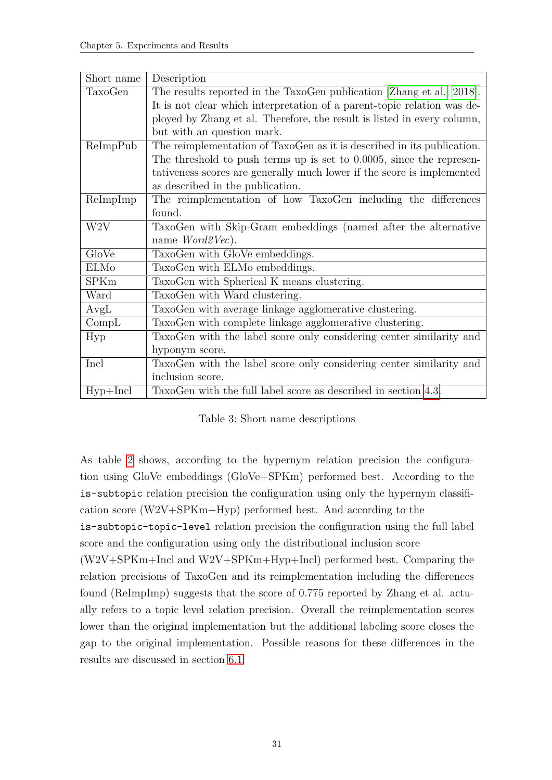| Short name        | Description                                                             |
|-------------------|-------------------------------------------------------------------------|
| TaxoGen           | The results reported in the TaxoGen publication [Zhang et al., 2018].   |
|                   | It is not clear which interpretation of a parent-topic relation was de- |
|                   | ployed by Zhang et al. Therefore, the result is listed in every column, |
|                   | but with an question mark.                                              |
| ReImpPub          | The reimplementation of TaxoGen as it is described in its publication.  |
|                   | The threshold to push terms up is set to $0.0005$ , since the represen- |
|                   | tativeness scores are generally much lower if the score is implemented  |
|                   | as described in the publication.                                        |
| ReImpImp          | The reimplementation of how TaxoGen including the differences           |
|                   | found.                                                                  |
| W <sub>2</sub> V  | TaxoGen with Skip-Gram embeddings (named after the alternative          |
|                   | name $Word2Vec$ ).                                                      |
| GloVe             | TaxoGen with GloVe embeddings.                                          |
| ELMo              | TaxoGen with ELMo embeddings.                                           |
| <b>SPKm</b>       | TaxoGen with Spherical K means clustering.                              |
| Ward              | TaxoGen with Ward clustering.                                           |
| AvgL              | TaxoGen with average linkage agglomerative clustering.                  |
| Comp <sub>L</sub> | TaxoGen with complete linkage agglomerative clustering.                 |
| Hyp               | TaxoGen with the label score only considering center similarity and     |
|                   | hyponym score.                                                          |
| Incl              | TaxoGen with the label score only considering center similarity and     |
|                   | inclusion score.                                                        |
| $Hyp+Incl$        | TaxoGen with the full label score as described in section 4.3.          |

Table 3: Short name descriptions

As table [2](#page-0-0) shows, according to the hypernym relation precision the configuration using GloVe embeddings (GloVe+SPKm) performed best. According to the is-subtopic relation precision the configuration using only the hypernym classification score (W2V+SPKm+Hyp) performed best. And according to the

is-subtopic-topic-level relation precision the configuration using the full label score and the configuration using only the distributional inclusion score

(W2V+SPKm+Incl and W2V+SPKm+Hyp+Incl) performed best. Comparing the relation precisions of TaxoGen and its reimplementation including the differences found (ReImpImp) suggests that the score of 0.775 reported by Zhang et al. actually refers to a topic level relation precision. Overall the reimplementation scores lower than the original implementation but the additional labeling score closes the gap to the original implementation. Possible reasons for these differences in the results are discussed in section [6.1.](#page-39-1)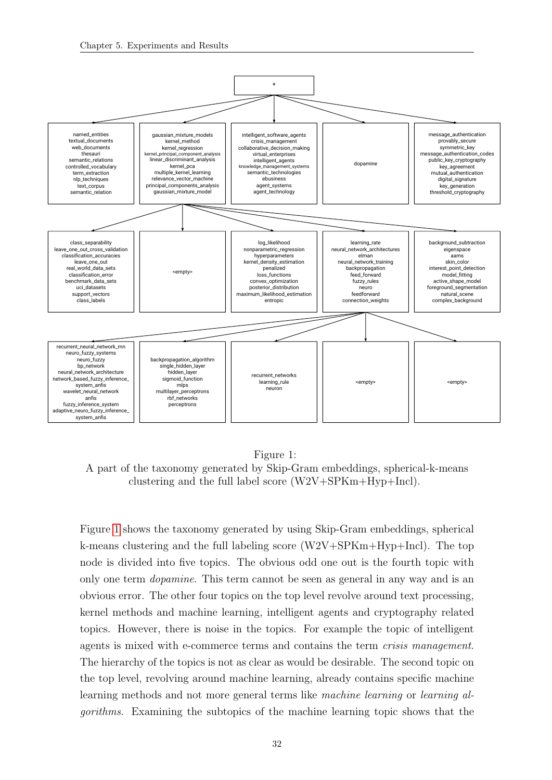

Figure 1:

A part of the taxonomy generated by Skip-Gram embeddings, spherical-k-means clustering and the full label score (W2V+SPKm+Hyp+Incl).

Figure [1](#page-0-0) shows the taxonomy generated by using Skip-Gram embeddings, spherical k-means clustering and the full labeling score  $(W2V+SPKm+Hyp+Incl)$ . The top node is divided into five topics. The obvious odd one out is the fourth topic with only one term dopamine. This term cannot be seen as general in any way and is an obvious error. The other four topics on the top level revolve around text processing, kernel methods and machine learning, intelligent agents and cryptography related topics. However, there is noise in the topics. For example the topic of intelligent agents is mixed with e-commerce terms and contains the term crisis management. The hierarchy of the topics is not as clear as would be desirable. The second topic on the top level, revolving around machine learning, already contains specific machine learning methods and not more general terms like machine learning or learning algorithms. Examining the subtopics of the machine learning topic shows that the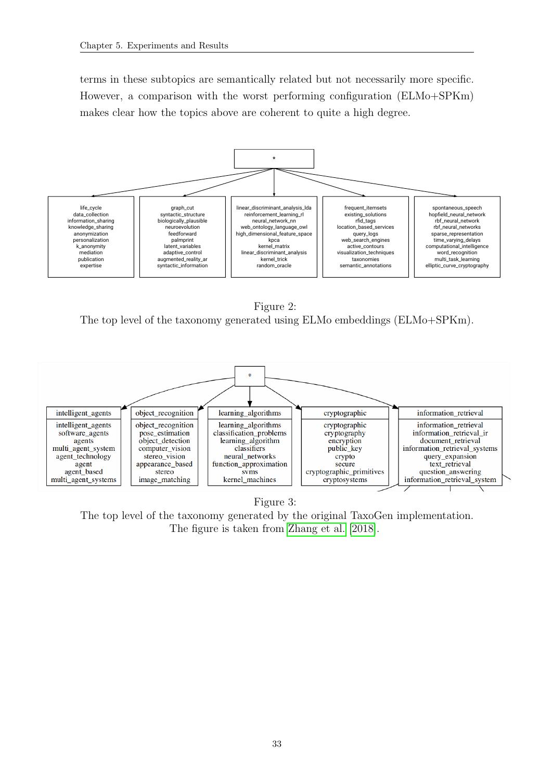terms in these subtopics are semantically related but not necessarily more specific. However, a comparison with the worst performing configuration (ELMo+SPKm) makes clear how the topics above are coherent to quite a high degree.



Figure 2: The top level of the taxonomy generated using ELMo embeddings (ELMo+SPKm).



Figure 3: The top level of the taxonomy generated by the original TaxoGen implementation. The figure is taken from [Zhang et al.](#page-48-2) [\[2018\]](#page-48-2).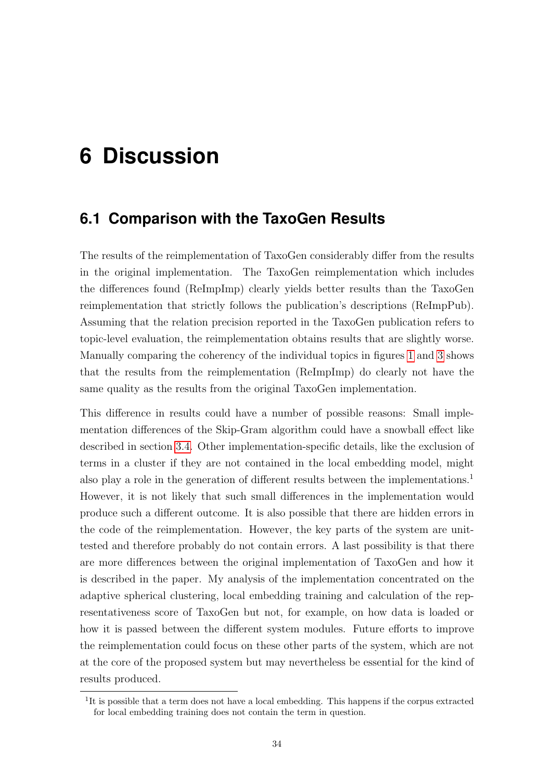## <span id="page-39-0"></span>**6 Discussion**

### <span id="page-39-1"></span>**6.1 Comparison with the TaxoGen Results**

The results of the reimplementation of TaxoGen considerably differ from the results in the original implementation. The TaxoGen reimplementation which includes the differences found (ReImpImp) clearly yields better results than the TaxoGen reimplementation that strictly follows the publication's descriptions (ReImpPub). Assuming that the relation precision reported in the TaxoGen publication refers to topic-level evaluation, the reimplementation obtains results that are slightly worse. Manually comparing the coherency of the individual topics in figures [1](#page-0-0) and [3](#page-0-0) shows that the results from the reimplementation (ReImpImp) do clearly not have the same quality as the results from the original TaxoGen implementation.

This difference in results could have a number of possible reasons: Small implementation differences of the Skip-Gram algorithm could have a snowball effect like described in section [3.4.](#page-20-0) Other implementation-specific details, like the exclusion of terms in a cluster if they are not contained in the local embedding model, might also play a role in the generation of different results between the implementations.<sup>1</sup> However, it is not likely that such small differences in the implementation would produce such a different outcome. It is also possible that there are hidden errors in the code of the reimplementation. However, the key parts of the system are unittested and therefore probably do not contain errors. A last possibility is that there are more differences between the original implementation of TaxoGen and how it is described in the paper. My analysis of the implementation concentrated on the adaptive spherical clustering, local embedding training and calculation of the representativeness score of TaxoGen but not, for example, on how data is loaded or how it is passed between the different system modules. Future efforts to improve the reimplementation could focus on these other parts of the system, which are not at the core of the proposed system but may nevertheless be essential for the kind of results produced.

<sup>&</sup>lt;sup>1</sup>It is possible that a term does not have a local embedding. This happens if the corpus extracted for local embedding training does not contain the term in question.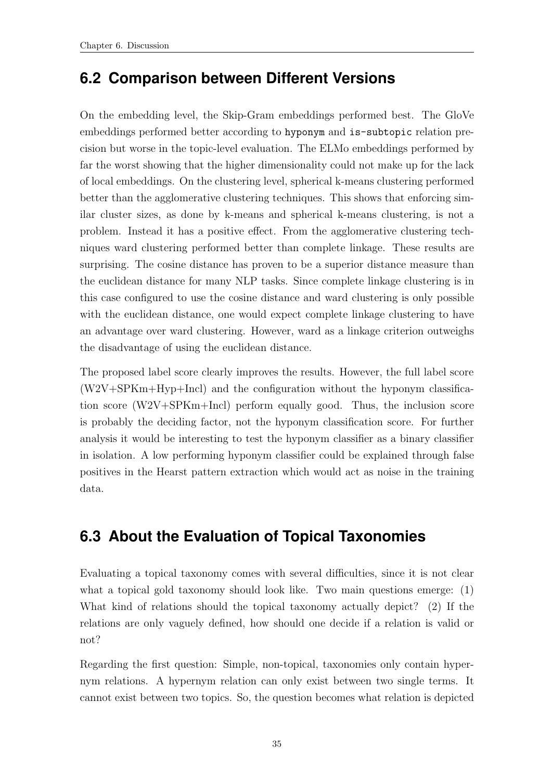## <span id="page-40-0"></span>**6.2 Comparison between Different Versions**

On the embedding level, the Skip-Gram embeddings performed best. The GloVe embeddings performed better according to hyponym and is-subtopic relation precision but worse in the topic-level evaluation. The ELMo embeddings performed by far the worst showing that the higher dimensionality could not make up for the lack of local embeddings. On the clustering level, spherical k-means clustering performed better than the agglomerative clustering techniques. This shows that enforcing similar cluster sizes, as done by k-means and spherical k-means clustering, is not a problem. Instead it has a positive effect. From the agglomerative clustering techniques ward clustering performed better than complete linkage. These results are surprising. The cosine distance has proven to be a superior distance measure than the euclidean distance for many NLP tasks. Since complete linkage clustering is in this case configured to use the cosine distance and ward clustering is only possible with the euclidean distance, one would expect complete linkage clustering to have an advantage over ward clustering. However, ward as a linkage criterion outweighs the disadvantage of using the euclidean distance.

The proposed label score clearly improves the results. However, the full label score (W2V+SPKm+Hyp+Incl) and the configuration without the hyponym classification score (W2V+SPKm+Incl) perform equally good. Thus, the inclusion score is probably the deciding factor, not the hyponym classification score. For further analysis it would be interesting to test the hyponym classifier as a binary classifier in isolation. A low performing hyponym classifier could be explained through false positives in the Hearst pattern extraction which would act as noise in the training data.

## <span id="page-40-1"></span>**6.3 About the Evaluation of Topical Taxonomies**

Evaluating a topical taxonomy comes with several difficulties, since it is not clear what a topical gold taxonomy should look like. Two main questions emerge: (1) What kind of relations should the topical taxonomy actually depict? (2) If the relations are only vaguely defined, how should one decide if a relation is valid or not?

Regarding the first question: Simple, non-topical, taxonomies only contain hypernym relations. A hypernym relation can only exist between two single terms. It cannot exist between two topics. So, the question becomes what relation is depicted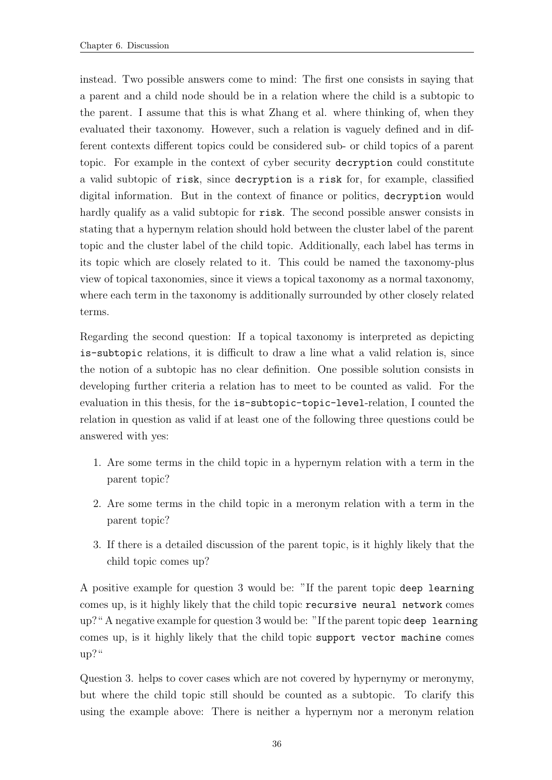instead. Two possible answers come to mind: The first one consists in saying that a parent and a child node should be in a relation where the child is a subtopic to the parent. I assume that this is what Zhang et al. where thinking of, when they evaluated their taxonomy. However, such a relation is vaguely defined and in different contexts different topics could be considered sub- or child topics of a parent topic. For example in the context of cyber security decryption could constitute a valid subtopic of risk, since decryption is a risk for, for example, classified digital information. But in the context of finance or politics, decryption would hardly qualify as a valid subtopic for risk. The second possible answer consists in stating that a hypernym relation should hold between the cluster label of the parent topic and the cluster label of the child topic. Additionally, each label has terms in its topic which are closely related to it. This could be named the taxonomy-plus view of topical taxonomies, since it views a topical taxonomy as a normal taxonomy, where each term in the taxonomy is additionally surrounded by other closely related terms.

Regarding the second question: If a topical taxonomy is interpreted as depicting is-subtopic relations, it is difficult to draw a line what a valid relation is, since the notion of a subtopic has no clear definition. One possible solution consists in developing further criteria a relation has to meet to be counted as valid. For the evaluation in this thesis, for the is-subtopic-topic-level-relation, I counted the relation in question as valid if at least one of the following three questions could be answered with yes:

- 1. Are some terms in the child topic in a hypernym relation with a term in the parent topic?
- 2. Are some terms in the child topic in a meronym relation with a term in the parent topic?
- 3. If there is a detailed discussion of the parent topic, is it highly likely that the child topic comes up?

A positive example for question 3 would be: "If the parent topic deep learning comes up, is it highly likely that the child topic recursive neural network comes up?" A negative example for question 3 would be: "If the parent topic deep learning comes up, is it highly likely that the child topic support vector machine comes up?"

Question 3. helps to cover cases which are not covered by hypernymy or meronymy, but where the child topic still should be counted as a subtopic. To clarify this using the example above: There is neither a hypernym nor a meronym relation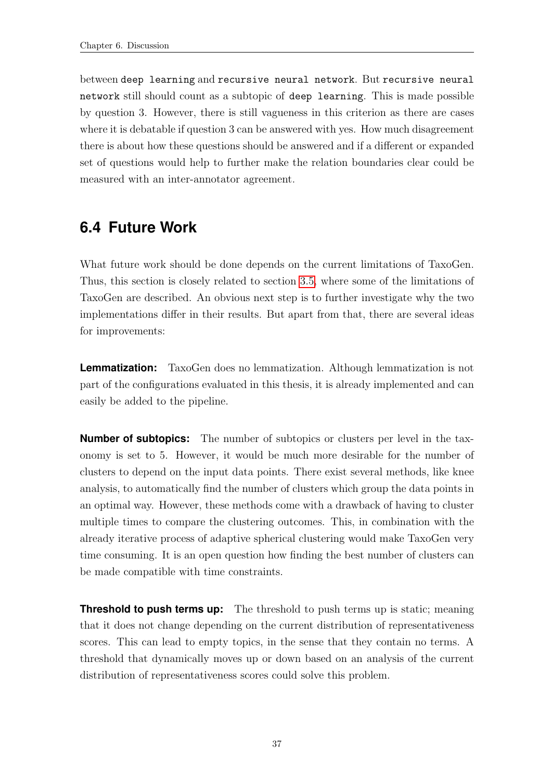between deep learning and recursive neural network. But recursive neural network still should count as a subtopic of deep learning. This is made possible by question 3. However, there is still vagueness in this criterion as there are cases where it is debatable if question 3 can be answered with yes. How much disagreement there is about how these questions should be answered and if a different or expanded set of questions would help to further make the relation boundaries clear could be measured with an inter-annotator agreement.

## <span id="page-42-0"></span>**6.4 Future Work**

What future work should be done depends on the current limitations of TaxoGen. Thus, this section is closely related to section [3.5,](#page-23-0) where some of the limitations of TaxoGen are described. An obvious next step is to further investigate why the two implementations differ in their results. But apart from that, there are several ideas for improvements:

**Lemmatization:** TaxoGen does no lemmatization. Although lemmatization is not part of the configurations evaluated in this thesis, it is already implemented and can easily be added to the pipeline.

**Number of subtopics:** The number of subtopics or clusters per level in the taxonomy is set to 5. However, it would be much more desirable for the number of clusters to depend on the input data points. There exist several methods, like knee analysis, to automatically find the number of clusters which group the data points in an optimal way. However, these methods come with a drawback of having to cluster multiple times to compare the clustering outcomes. This, in combination with the already iterative process of adaptive spherical clustering would make TaxoGen very time consuming. It is an open question how finding the best number of clusters can be made compatible with time constraints.

**Threshold to push terms up:** The threshold to push terms up is static; meaning that it does not change depending on the current distribution of representativeness scores. This can lead to empty topics, in the sense that they contain no terms. A threshold that dynamically moves up or down based on an analysis of the current distribution of representativeness scores could solve this problem.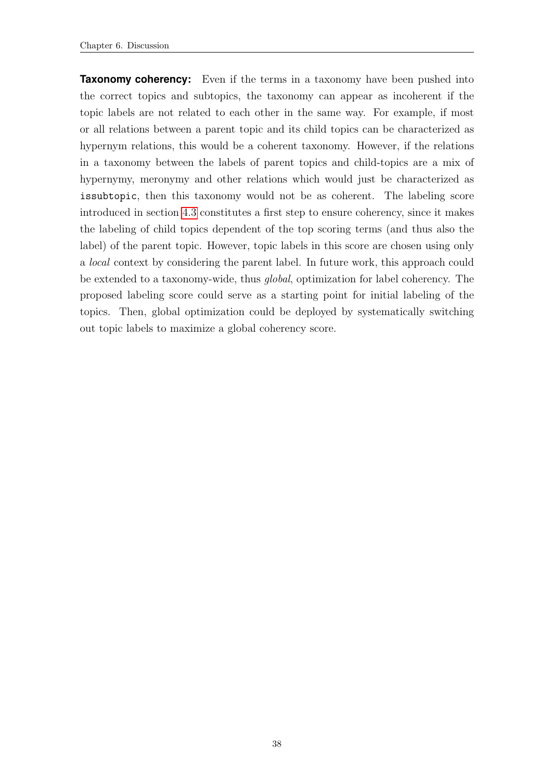**Taxonomy coherency:** Even if the terms in a taxonomy have been pushed into the correct topics and subtopics, the taxonomy can appear as incoherent if the topic labels are not related to each other in the same way. For example, if most or all relations between a parent topic and its child topics can be characterized as hypernym relations, this would be a coherent taxonomy. However, if the relations in a taxonomy between the labels of parent topics and child-topics are a mix of hypernymy, meronymy and other relations which would just be characterized as issubtopic, then this taxonomy would not be as coherent. The labeling score introduced in section [4.3](#page-28-0) constitutes a first step to ensure coherency, since it makes the labeling of child topics dependent of the top scoring terms (and thus also the label) of the parent topic. However, topic labels in this score are chosen using only a local context by considering the parent label. In future work, this approach could be extended to a taxonomy-wide, thus global, optimization for label coherency. The proposed labeling score could serve as a starting point for initial labeling of the topics. Then, global optimization could be deployed by systematically switching out topic labels to maximize a global coherency score.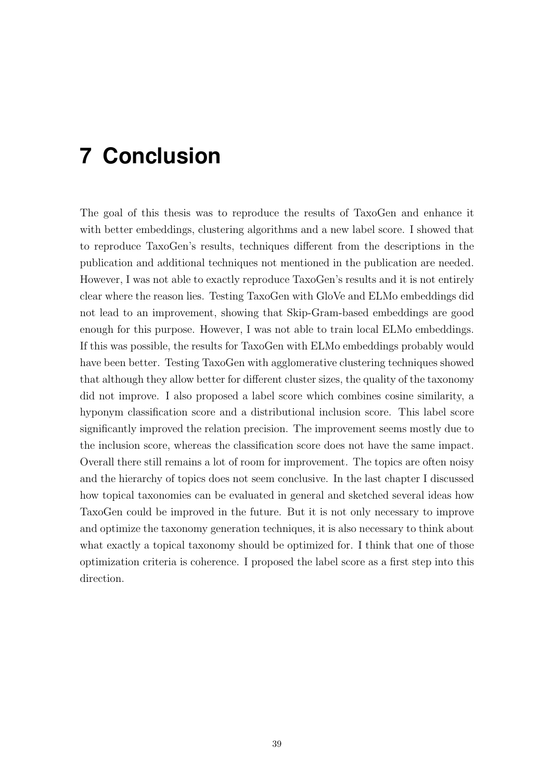## <span id="page-44-0"></span>**7 Conclusion**

The goal of this thesis was to reproduce the results of TaxoGen and enhance it with better embeddings, clustering algorithms and a new label score. I showed that to reproduce TaxoGen's results, techniques different from the descriptions in the publication and additional techniques not mentioned in the publication are needed. However, I was not able to exactly reproduce TaxoGen's results and it is not entirely clear where the reason lies. Testing TaxoGen with GloVe and ELMo embeddings did not lead to an improvement, showing that Skip-Gram-based embeddings are good enough for this purpose. However, I was not able to train local ELMo embeddings. If this was possible, the results for TaxoGen with ELMo embeddings probably would have been better. Testing TaxoGen with agglomerative clustering techniques showed that although they allow better for different cluster sizes, the quality of the taxonomy did not improve. I also proposed a label score which combines cosine similarity, a hyponym classification score and a distributional inclusion score. This label score significantly improved the relation precision. The improvement seems mostly due to the inclusion score, whereas the classification score does not have the same impact. Overall there still remains a lot of room for improvement. The topics are often noisy and the hierarchy of topics does not seem conclusive. In the last chapter I discussed how topical taxonomies can be evaluated in general and sketched several ideas how TaxoGen could be improved in the future. But it is not only necessary to improve and optimize the taxonomy generation techniques, it is also necessary to think about what exactly a topical taxonomy should be optimized for. I think that one of those optimization criteria is coherence. I proposed the label score as a first step into this direction.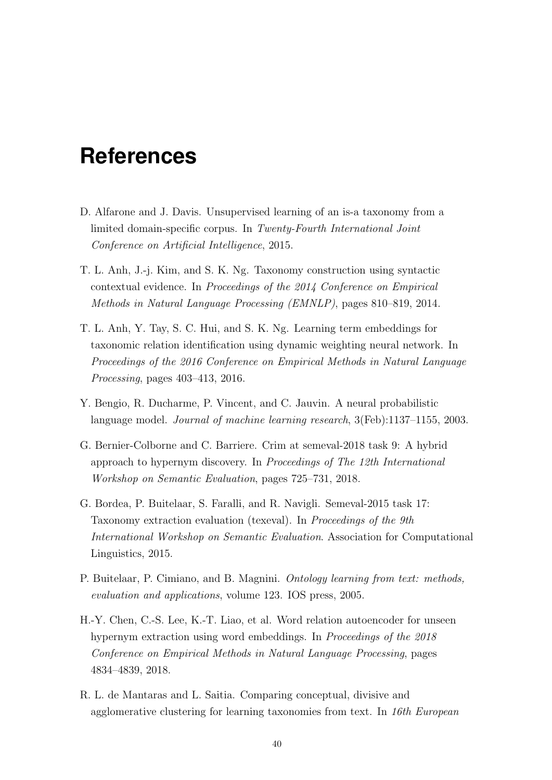## <span id="page-45-0"></span>**References**

- <span id="page-45-4"></span>D. Alfarone and J. Davis. Unsupervised learning of an is-a taxonomy from a limited domain-specific corpus. In Twenty-Fourth International Joint Conference on Artificial Intelligence, 2015.
- <span id="page-45-3"></span>T. L. Anh, J.-j. Kim, and S. K. Ng. Taxonomy construction using syntactic contextual evidence. In Proceedings of the 2014 Conference on Empirical Methods in Natural Language Processing (EMNLP), pages 810–819, 2014.
- <span id="page-45-8"></span>T. L. Anh, Y. Tay, S. C. Hui, and S. K. Ng. Learning term embeddings for taxonomic relation identification using dynamic weighting neural network. In Proceedings of the 2016 Conference on Empirical Methods in Natural Language Processing, pages 403–413, 2016.
- <span id="page-45-6"></span>Y. Bengio, R. Ducharme, P. Vincent, and C. Jauvin. A neural probabilistic language model. Journal of machine learning research, 3(Feb):1137–1155, 2003.
- <span id="page-45-7"></span>G. Bernier-Colborne and C. Barriere. Crim at semeval-2018 task 9: A hybrid approach to hypernym discovery. In Proceedings of The 12th International Workshop on Semantic Evaluation, pages 725–731, 2018.
- <span id="page-45-5"></span>G. Bordea, P. Buitelaar, S. Faralli, and R. Navigli. Semeval-2015 task 17: Taxonomy extraction evaluation (texeval). In Proceedings of the 9th International Workshop on Semantic Evaluation. Association for Computational Linguistics, 2015.
- <span id="page-45-1"></span>P. Buitelaar, P. Cimiano, and B. Magnini. Ontology learning from text: methods, evaluation and applications, volume 123. IOS press, 2005.
- <span id="page-45-9"></span>H.-Y. Chen, C.-S. Lee, K.-T. Liao, et al. Word relation autoencoder for unseen hypernym extraction using word embeddings. In *Proceedings of the 2018* Conference on Empirical Methods in Natural Language Processing, pages 4834–4839, 2018.
- <span id="page-45-2"></span>R. L. de Mantaras and L. Saitia. Comparing conceptual, divisive and agglomerative clustering for learning taxonomies from text. In 16th European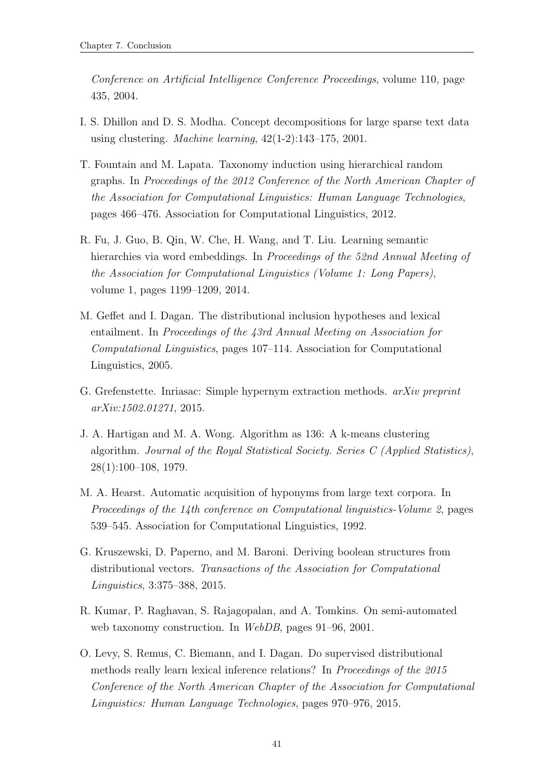Conference on Artificial Intelligence Conference Proceedings, volume 110, page 435, 2004.

- <span id="page-46-8"></span>I. S. Dhillon and D. S. Modha. Concept decompositions for large sparse text data using clustering. Machine learning, 42(1-2):143–175, 2001.
- <span id="page-46-0"></span>T. Fountain and M. Lapata. Taxonomy induction using hierarchical random graphs. In Proceedings of the 2012 Conference of the North American Chapter of the Association for Computational Linguistics: Human Language Technologies, pages 466–476. Association for Computational Linguistics, 2012.
- <span id="page-46-4"></span>R. Fu, J. Guo, B. Qin, W. Che, H. Wang, and T. Liu. Learning semantic hierarchies via word embeddings. In *Proceedings of the 52nd Annual Meeting of* the Association for Computational Linguistics (Volume 1: Long Papers), volume 1, pages 1199–1209, 2014.
- <span id="page-46-9"></span>M. Geffet and I. Dagan. The distributional inclusion hypotheses and lexical entailment. In Proceedings of the 43rd Annual Meeting on Association for Computational Linguistics, pages 107–114. Association for Computational Linguistics, 2005.
- <span id="page-46-2"></span>G. Grefenstette. Inriasac: Simple hypernym extraction methods. arXiv preprint arXiv:1502.01271, 2015.
- <span id="page-46-7"></span>J. A. Hartigan and M. A. Wong. Algorithm as 136: A k-means clustering algorithm. Journal of the Royal Statistical Society. Series C (Applied Statistics), 28(1):100–108, 1979.
- <span id="page-46-1"></span>M. A. Hearst. Automatic acquisition of hyponyms from large text corpora. In Proceedings of the 14th conference on Computational linguistics-Volume 2, pages 539–545. Association for Computational Linguistics, 1992.
- <span id="page-46-3"></span>G. Kruszewski, D. Paperno, and M. Baroni. Deriving boolean structures from distributional vectors. Transactions of the Association for Computational Linguistics, 3:375–388, 2015.
- <span id="page-46-6"></span>R. Kumar, P. Raghavan, S. Rajagopalan, and A. Tomkins. On semi-automated web taxonomy construction. In WebDB, pages 91–96, 2001.
- <span id="page-46-5"></span>O. Levy, S. Remus, C. Biemann, and I. Dagan. Do supervised distributional methods really learn lexical inference relations? In Proceedings of the 2015 Conference of the North American Chapter of the Association for Computational Linguistics: Human Language Technologies, pages 970–976, 2015.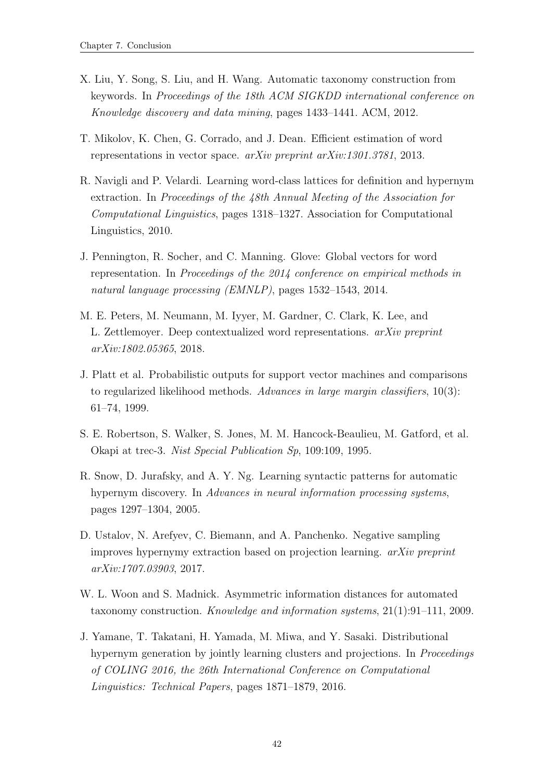- <span id="page-47-0"></span>X. Liu, Y. Song, S. Liu, and H. Wang. Automatic taxonomy construction from keywords. In Proceedings of the 18th ACM SIGKDD international conference on Knowledge discovery and data mining, pages 1433–1441. ACM, 2012.
- <span id="page-47-3"></span>T. Mikolov, K. Chen, G. Corrado, and J. Dean. Efficient estimation of word representations in vector space. arXiv preprint arXiv:1301.3781, 2013.
- <span id="page-47-2"></span>R. Navigli and P. Velardi. Learning word-class lattices for definition and hypernym extraction. In Proceedings of the 48th Annual Meeting of the Association for Computational Linguistics, pages 1318–1327. Association for Computational Linguistics, 2010.
- <span id="page-47-8"></span>J. Pennington, R. Socher, and C. Manning. Glove: Global vectors for word representation. In Proceedings of the 2014 conference on empirical methods in natural language processing (EMNLP), pages 1532–1543, 2014.
- <span id="page-47-9"></span>M. E. Peters, M. Neumann, M. Iyyer, M. Gardner, C. Clark, K. Lee, and L. Zettlemoyer. Deep contextualized word representations. arXiv preprint arXiv:1802.05365, 2018.
- <span id="page-47-10"></span>J. Platt et al. Probabilistic outputs for support vector machines and comparisons to regularized likelihood methods. Advances in large margin classifiers, 10(3): 61–74, 1999.
- <span id="page-47-7"></span>S. E. Robertson, S. Walker, S. Jones, M. M. Hancock-Beaulieu, M. Gatford, et al. Okapi at trec-3. Nist Special Publication Sp, 109:109, 1995.
- <span id="page-47-1"></span>R. Snow, D. Jurafsky, and A. Y. Ng. Learning syntactic patterns for automatic hypernym discovery. In Advances in neural information processing systems, pages 1297–1304, 2005.
- <span id="page-47-5"></span>D. Ustalov, N. Arefyev, C. Biemann, and A. Panchenko. Negative sampling improves hypernymy extraction based on projection learning. arXiv preprint arXiv:1707.03903, 2017.
- <span id="page-47-6"></span>W. L. Woon and S. Madnick. Asymmetric information distances for automated taxonomy construction. Knowledge and information systems, 21(1):91–111, 2009.
- <span id="page-47-4"></span>J. Yamane, T. Takatani, H. Yamada, M. Miwa, and Y. Sasaki. Distributional hypernym generation by jointly learning clusters and projections. In Proceedings of COLING 2016, the 26th International Conference on Computational Linguistics: Technical Papers, pages 1871–1879, 2016.